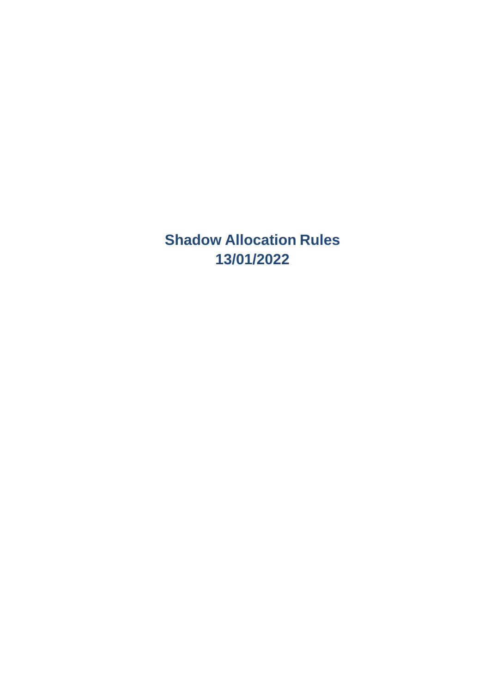**Shadow Allocation Rules 13/01/2022**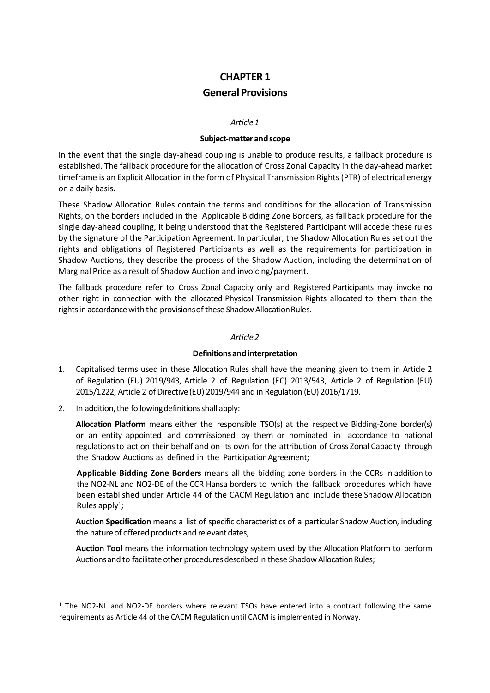# **CHAPTER 1 GeneralProvisions**

### *Article1*

### **Subject‐matterandscope**

In the event that the single day-ahead coupling is unable to produce results, a fallback procedure is established. The fallback procedure for the allocation of Cross Zonal Capacity in the day‐ahead market timeframe is an Explicit Allocation in the form of Physical Transmission Rights (PTR) of electrical energy on a daily basis.

These Shadow Allocation Rules contain the terms and conditions for the allocation of Transmission Rights, on the borders included in the Applicable Bidding Zone Borders, as fallback procedure for the single day‐ahead coupling, it being understood that the Registered Participant will accede these rules by the signature of the Participation Agreement. In particular, the Shadow Allocation Rules set out the rights and obligations of Registered Participants as well as the requirements for participation in Shadow Auctions, they describe the process of the Shadow Auction, including the determination of Marginal Price as a result of Shadow Auction and invoicing/payment.

The fallback procedure refer to Cross Zonal Capacity only and Registered Participants may invoke no other right in connection with the allocated Physical Transmission Rights allocated to them than the rights in accordance with the provisions of these Shadow Allocation Rules.

## *Article2*

## **Definitions andinterpretation**

- 1. Capitalised terms used in these Allocation Rules shall have the meaning given to them in Article 2 of Regulation (EU) 2019/943, Article 2 of Regulation (EC) 2013/543, Article 2 of Regulation (EU) 2015/1222, Article 2 of Directive (EU) 2019/944 and in Regulation (EU) 2016/1719.
- 2. In addition, the following definitions shall apply:

**Allocation Platform** means either the responsible TSO(s) at the respective Bidding‐Zone border(s) or an entity appointed and commissioned by them or nominated in accordance to national regulationsto act on their behalf and on its own for the attribution of Cross Zonal Capacity through the Shadow Auctions as defined in the ParticipationAgreement;

**Applicable Bidding Zone Borders** means all the bidding zone borders in the CCRs in addition to the NO2-NL and NO2-DE of the CCR Hansa borders to which the fallback procedures which have been established under Article 44 of the CACM Regulation and include these Shadow Allocation Rules apply<sup>1</sup>;

**Auction Specification** means a list of specific characteristics of a particular Shadow Auction, including the nature of offered products and relevant dates;

**Auction Tool** means the information technology system used by the Allocation Platform to perform Auctions and to facilitate other procedures described in these Shadow Allocation Rules;

<sup>&</sup>lt;sup>1</sup> The NO2-NL and NO2-DE borders where relevant TSOs have entered into a contract following the same requirements as Article 44 of the CACM Regulation until CACM is implemented in Norway.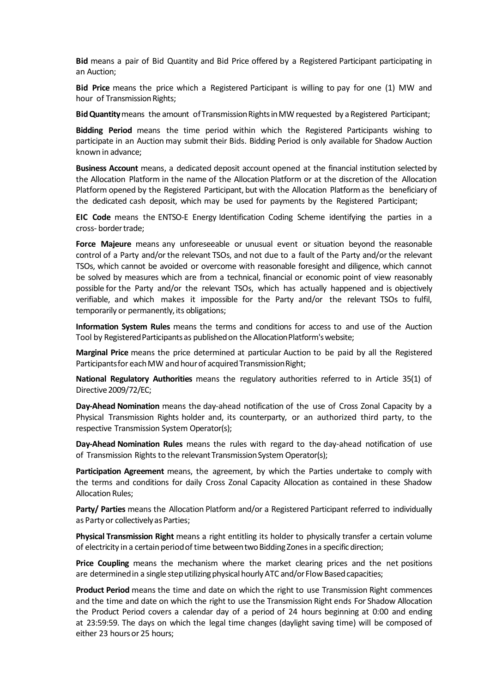**Bid** means a pair of Bid Quantity and Bid Price offered by a Registered Participant participating in an Auction;

**Bid Price** means the price which a Registered Participant is willing to pay for one (1) MW and hour of Transmission Rights;

**Bid Quantity** means the amount of Transmission Rights in MW requested by a Registered Participant;

**Bidding Period** means the time period within which the Registered Participants wishing to participate in an Auction may submit their Bids. Bidding Period is only available for Shadow Auction known in advance;

**Business Account** means, a dedicated deposit account opened at the financial institution selected by the Allocation Platform in the name of the Allocation Platform or at the discretion of the Allocation Platform opened by the Registered Participant, but with the Allocation Platformas the beneficiary of the dedicated cash deposit, which may be used for payments by the Registered Participant;

**EIC Code** means the ENTSO‐E Energy Identification Coding Scheme identifying the parties in a cross- border trade;

**Force Majeure** means any unforeseeable or unusual event or situation beyond the reasonable control of a Party and/orthe relevant TSOs, and not due to a fault of the Party and/or the relevant TSOs, which cannot be avoided or overcome with reasonable foresight and diligence, which cannot be solved by measures which are from a technical, financial or economic point of view reasonably possible for the Party and/or the relevant TSOs, which has actually happened and is objectively verifiable, and which makes it impossible for the Party and/or the relevant TSOs to fulfil, temporarily or permanently, its obligations;

**Information System Rules** means the terms and conditions for access to and use of the Auction Tool by Registered Participants as published on the Allocation Platform's website;

**Marginal Price** means the price determined at particular Auction to be paid by all the Registered Participants for each MW and hour of acquired Transmission Right;

**National Regulatory Authorities** means the regulatory authorities referred to in Article 35(1) of Directive 2009/72/EC;

**Day‐Ahead Nomination** means the day‐ahead notification of the use of Cross Zonal Capacity by a Physical Transmission Rights holder and, its counterparty, or an authorized third party, to the respective Transmission System Operator(s);

**Day‐Ahead Nomination Rules** means the rules with regard to the day‐ahead notification of use of Transmission Rights to the relevant Transmission System Operator(s):

**Participation Agreement** means, the agreement, by which the Parties undertake to comply with the terms and conditions for daily Cross Zonal Capacity Allocation as contained in these Shadow Allocation Rules;

**Party/ Parties** means the Allocation Platform and/or a Registered Participant referred to individually as Party or collectively as Parties;

**Physical Transmission Right** means a right entitling its holder to physically transfer a certain volume of electricity in a certain period of time between two Bidding Zones in a specific direction;

**Price Coupling** means the mechanism where the market clearing prices and the net positions are determined in a single step utilizing physical hourly ATC and/or Flow Based capacities;

**Product Period** means the time and date on which the right to use Transmission Right commences and the time and date on which the right to use the Transmission Right ends For Shadow Allocation the Product Period covers a calendar day of a period of 24 hours beginning at 0:00 and ending at 23:59:59. The days on which the legal time changes (daylight saving time) will be composed of either 23 hours or 25 hours;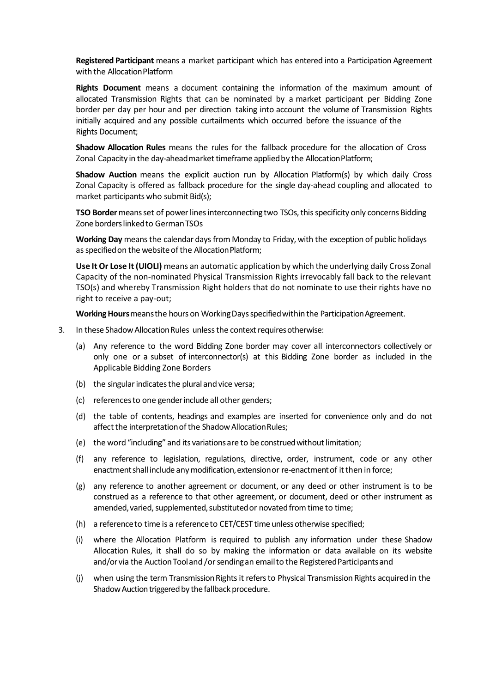**Registered Participant** means a market participant which has entered into a Participation Agreement with the Allocation Platform

**Rights Document** means a document containing the information of the maximum amount of allocated Transmission Rights that can be nominated by a market participant per Bidding Zone border per day per hour and per direction taking into account the volume of Transmission Rights initially acquired and any possible curtailments which occurred before the issuance of the Rights Document;

**Shadow Allocation Rules** means the rules for the fallback procedure for the allocation of Cross Zonal Capacity in the day-ahead market timeframe applied by the Allocation Platform;

**Shadow Auction** means the explicit auction run by Allocation Platform(s) by which daily Cross Zonal Capacity is offered as fallback procedure for the single day‐ahead coupling and allocated to market participants who submit Bid(s);

**TSO Border** means set of power lines interconnecting two TSOs, this specificity only concerns Bidding Zone borders linked to German TSOs

**Working Day** meansthe calendar days from Monday to Friday, with the exception of public holidays as specified on the website of the Allocation Platform;

**Use It Or Lose It (UIOLI)** means an automatic application by which the underlying daily Cross Zonal Capacity of the non-nominated Physical Transmission Rights irrevocably fall back to the relevant TSO(s) and whereby Transmission Right holders that do not nominate to use their rights have no right to receive a pay-out;

**Working Hours** means the hours on Working Days specified within the Participation Agreement.

- 3. In these Shadow Allocation Rules unless the context requires otherwise:
	- (a) Any reference to the word Bidding Zone border may cover all interconnectors collectively or only one or a subset of interconnector(s) at this Bidding Zone border as included in the Applicable Bidding Zone Borders
	- (b) the singular indicates the plural and vice versa;
	- (c) referencesto one genderinclude all other genders;
	- (d) the table of contents, headings and examples are inserted for convenience only and do not affect the interpretation of the Shadow Allocation Rules;
	- (e) the word "including" and its variations are to be construed without limitation;
	- (f) any reference to legislation, regulations, directive, order, instrument, code or any other enactment shall include any modification, extension or re-enactment of it then in force;
	- (g) any reference to another agreement or document, or any deed or other instrument is to be construed as a reference to that other agreement, or document, deed or other instrument as amended, varied, supplemented, substituted or novated from time to time;
	- (h) a referenceto time is a referenceto CET/CEST time unlessotherwise specified;
	- (i) where the Allocation Platform is required to publish any information under these Shadow Allocation Rules, it shall do so by making the information or data available on its website and/or via the Auction Tool and /or sending an email to the Registered Participants and
	- (j) when using the term TransmissionRightsit refersto Physical Transmission Rights acquired in the Shadow Auction triggered by the fallback procedure.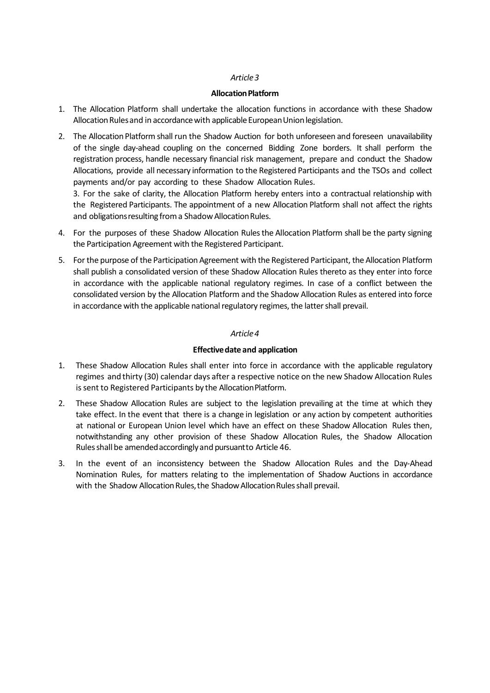### **Allocation Platform**

- 1. The Allocation Platform shall undertake the allocation functions in accordance with these Shadow Allocation Rules and in accordance with applicable European Union legislation.
- 2. The Allocation Platform shall run the Shadow Auction for both unforeseen and foreseen unavailability of the single day‐ahead coupling on the concerned Bidding Zone borders. It shall perform the registration process, handle necessary financial risk management, prepare and conduct the Shadow Allocations, provide all necessary information to the Registered Participants and the TSOs and collect payments and/or pay according to these Shadow Allocation Rules.

3. For the sake of clarity, the Allocation Platform hereby enters into a contractual relationship with the Registered Participants. The appointment of a new Allocation Platform shall not affect the rights and obligations resulting from a Shadow Allocation Rules.

- 4. For the purposes of these Shadow Allocation Rules the Allocation Platform shall be the party signing the Participation Agreement with the Registered Participant.
- 5. Forthe purpose of the Participation Agreement with the Registered Participant, the Allocation Platform shall publish a consolidated version of these Shadow Allocation Rules thereto as they enter into force in accordance with the applicable national regulatory regimes. In case of a conflict between the consolidated version by the Allocation Platform and the Shadow Allocation Rules as entered into force in accordance with the applicable national regulatory regimes, the latter shall prevail.

## *Article4*

## **Effectivedate and application**

- 1. These Shadow Allocation Rules shall enter into force in accordance with the applicable regulatory regimes and thirty (30) calendar days after a respective notice on the new Shadow Allocation Rules is sent to Registered Participants by the Allocation Platform.
- 2. These Shadow Allocation Rules are subject to the legislation prevailing at the time at which they take effect. In the event that there is a change in legislation or any action by competent authorities at national or European Union level which have an effect on these Shadow Allocation Rules then, notwithstanding any other provision of these Shadow Allocation Rules, the Shadow Allocation Rulesshallbe amendedaccordinglyand pursuantto Article 46.
- 3. In the event of an inconsistency between the Shadow Allocation Rules and the Day‐Ahead Nomination Rules, for matters relating to the implementation of Shadow Auctions in accordance with the Shadow Allocation Rules, the Shadow Allocation Rules shall prevail.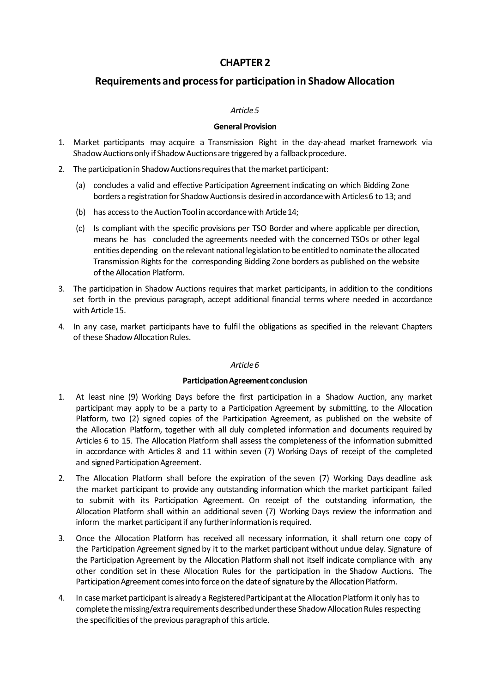# **Requirements and processfor participation in Shadow Allocation**

## *Article5*

## **General Provision**

- 1. Market participants may acquire a Transmission Right in the day‐ahead market framework via Shadow Auctions only if Shadow Auctions are triggered by a fallback procedure.
- 2. The participation in Shadow Auctions requires that the market participant:
	- (a) concludes a valid and effective Participation Agreement indicating on which Bidding Zone borders a registration for Shadow Auctions is desired in accordance with Articles 6 to 13; and
	- (b) has access to the Auction Tool in accordance with Article 14;
	- (c) Is compliant with the specific provisions per TSO Border and where applicable per direction, means he has concluded the agreements needed with the concerned TSOs or other legal entities depending on the relevant national legislation to be entitled to nominate the allocated Transmission Rights for the corresponding Bidding Zone borders as published on the website of the Allocation Platform.
- 3. The participation in Shadow Auctions requires that market participants, in addition to the conditions set forth in the previous paragraph, accept additional financial terms where needed in accordance with Article 15.
- 4. In any case, market participants have to fulfil the obligations as specified in the relevant Chapters of these Shadow Allocation Rules.

## *Article6*

## **ParticipationAgreement conclusion**

- 1. At least nine (9) Working Days before the first participation in a Shadow Auction, any market participant may apply to be a party to a Participation Agreement by submitting, to the Allocation Platform, two (2) signed copies of the Participation Agreement, as published on the website of the Allocation Platform, together with all duly completed information and documents required by Articles 6 to 15. The Allocation Platform shall assess the completeness of the information submitted in accordance with Articles 8 and 11 within seven (7) Working Days of receipt of the completed and signed Participation Agreement.
- 2. The Allocation Platform shall before the expiration of the seven (7) Working Days deadline ask the market participant to provide any outstanding information which the market participant failed to submit with its Participation Agreement. On receipt of the outstanding information, the Allocation Platform shall within an additional seven (7) Working Days review the information and inform the market participant if any further information is required.
- 3. Once the Allocation Platform has received all necessary information, it shall return one copy of the Participation Agreement signed by it to the market participant without undue delay. Signature of the Participation Agreement by the Allocation Platform shall not itself indicate compliance with any other condition set in these Allocation Rules for the participation in the Shadow Auctions. The Participation Agreement comes into force on the date of signature by the Allocation Platform.
- 4. In case market participant is already a Registered Participant at the Allocation Platform it only has to complete the missing/extra requirements described under these Shadow Allocation Rules respecting the specificitiesof the previous paragraphof this article.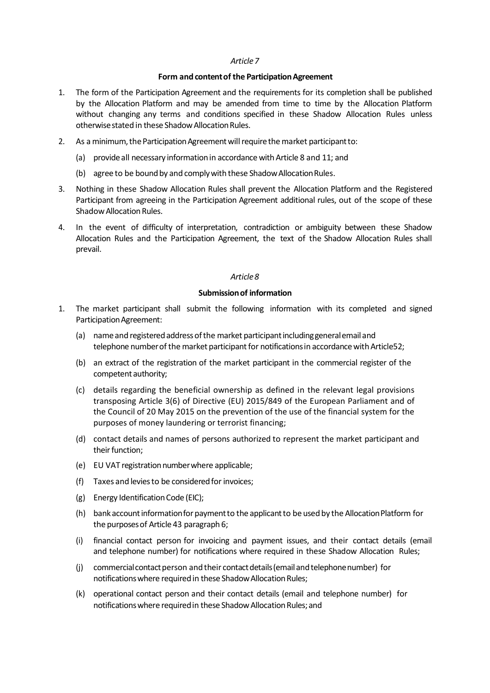### **Form** and content of the Participation Agreement

- 1. The form of the Participation Agreement and the requirements for its completion shall be published by the Allocation Platform and may be amended from time to time by the Allocation Platform without changing any terms and conditions specified in these Shadow Allocation Rules unless otherwisestated in these ShadowAllocationRules.
- 2. As a minimum, the Participation Agreement will require the market participant to:
	- (a) provideall necessary informationin accordancewithArticle 8 and 11; and
	- (b) agree to be bound by and comply with these Shadow Allocation Rules.
- 3. Nothing in these Shadow Allocation Rules shall prevent the Allocation Platform and the Registered Participant from agreeing in the Participation Agreement additional rules, out of the scope of these Shadow Allocation Rules.
- 4. In the event of difficulty of interpretation, contradiction or ambiguity between these Shadow Allocation Rules and the Participation Agreement, the text of the Shadow Allocation Rules shall prevail.

### *Article8*

### **Submissionof information**

- 1. The market participant shall submit the following information with its completed and signed Participation Agreement:
	- (a) name and registered address of the market participant including general email and telephone number of the market participant for notifications in accordance with Article52;
	- (b) an extract of the registration of the market participant in the commercial register of the competent authority;
	- (c) details regarding the beneficial ownership as defined in the relevant legal provisions transposing Article 3(6) of Directive (EU) 2015/849 of the European Parliament and of the Council of 20 May 2015 on the prevention of the use of the financial system for the purposes of money laundering or terrorist financing;
	- (d) contact details and names of persons authorized to represent the market participant and their function;
	- (e) EU VAT registration number where applicable;
	- (f) Taxes and levies to be considered for invoices;
	- (g) Energy IdentificationCode (EIC);
	- (h) bank account information for payment to the applicant to be used by the Allocation Platform for the purposesof Article 43 paragraph 6;
	- (i) financial contact person for invoicing and payment issues, and their contact details (email and telephone number) for notifications where required in these Shadow Allocation Rules;
	- (i) commercial contact person and their contact details (email and telephonenumber) for notifications where required in these Shadow Allocation Rules;
	- (k) operational contact person and their contact details (email and telephone number) for notifications where required in these Shadow Allocation Rules: and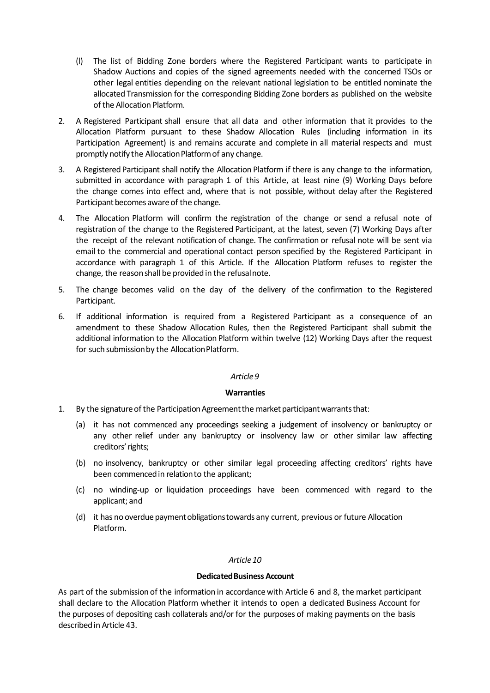- (l) The list of Bidding Zone borders where the Registered Participant wants to participate in Shadow Auctions and copies of the signed agreements needed with the concerned TSOs or other legal entities depending on the relevant national legislation to be entitled nominate the allocated Transmission for the corresponding Bidding Zone borders as published on the website of the Allocation Platform.
- 2. A Registered Participant shall ensure that all data and other information that it provides to the Allocation Platform pursuant to these Shadow Allocation Rules (including information in its Participation Agreement) is and remains accurate and complete in all material respects and must promptly notify the Allocation Platform of any change.
- 3. A Registered Participant shall notify the Allocation Platform if there is any change to the information, submitted in accordance with paragraph 1 of this Article, at least nine (9) Working Days before the change comes into effect and, where that is not possible, without delay after the Registered Participant becomes aware of the change.
- 4. The Allocation Platform will confirm the registration of the change or send a refusal note of registration of the change to the Registered Participant, at the latest, seven (7) Working Days after the receipt of the relevant notification of change. The confirmation or refusal note will be sent via email to the commercial and operational contact person specified by the Registered Participant in accordance with paragraph 1 of this Article. If the Allocation Platform refuses to register the change, the reason shall be provided in the refusal note.
- 5. The change becomes valid on the day of the delivery of the confirmation to the Registered Participant.
- 6. If additional information is required from a Registered Participant as a consequence of an amendment to these Shadow Allocation Rules, then the Registered Participant shall submit the additional information to the Allocation Platform within twelve (12) Working Days after the request for such submission by the Allocation Platform.

### **Warranties**

- 1. By the signature of the Participation Agreement the market participant warrants that:
	- (a) it has not commenced any proceedings seeking a judgement of insolvency or bankruptcy or any other relief under any bankruptcy or insolvency law or other similar law affecting creditors' rights;
	- (b) no insolvency, bankruptcy or other similar legal proceeding affecting creditors' rights have been commencedin relationto the applicant;
	- (c) no winding‐up or liquidation proceedings have been commenced with regard to the applicant; and
	- (d) it has no overdue payment obligations towards any current, previous or future Allocation Platform.

## *Article10*

### **Dedicated Business Account**

As part of the submission of the information in accordancewith Article 6 and 8, the market participant shall declare to the Allocation Platform whether it intends to open a dedicated Business Account for the purposes of depositing cash collaterals and/or for the purposes of making payments on the basis describedin Article 43.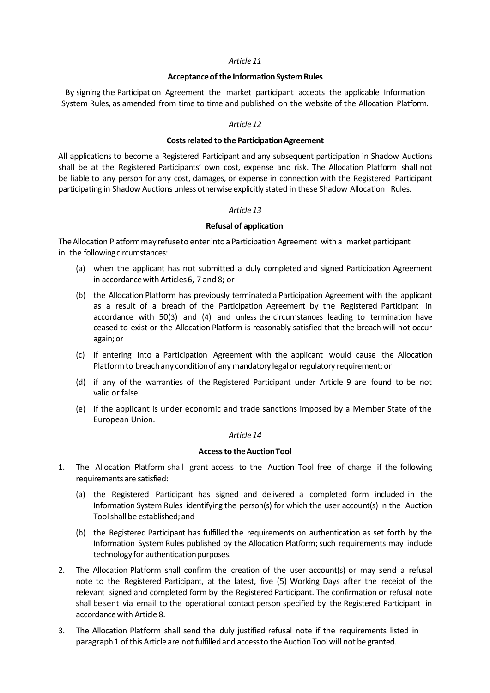### **Acceptanceof the InformationSystem Rules**

By signing the Participation Agreement the market participant accepts the applicable Information System Rules, as amended from time to time and published on the website of the Allocation Platform.

### *Article12*

### **Costs related to the Participation Agreement**

All applications to become a Registered Participant and any subsequent participation in Shadow Auctions shall be at the Registered Participants' own cost, expense and risk. The Allocation Platform shall not be liable to any person for any cost, damages, or expense in connection with the Registered Participant participating in Shadow Auctions unless otherwise explicitly stated in these Shadow Allocation Rules.

## *Article13*

### **Refusal of application**

The Allocation Platform may refuse to enter into a Participation Agreement with a market participant in the following circumstances:

- (a) when the applicant has not submitted a duly completed and signed Participation Agreement in accordancewith Articles6, 7 and 8; or
- (b) the Allocation Platform has previously terminated a Participation Agreement with the applicant as a result of a breach of the Participation Agreement by the Registered Participant in accordance with 50(3) and (4) and unless the circumstances leading to termination have ceased to exist or the Allocation Platform is reasonably satisfied that the breach will not occur again;or
- (c) if entering into a Participation Agreement with the applicant would cause the Allocation Platform to breach any condition of any mandatory legal or regulatory requirement; or
- (d) if any of the warranties of the Registered Participant under Article 9 are found to be not valid or false.
- (e) if the applicant is under economic and trade sanctions imposed by a Member State of the European Union.

### *Article14*

### **Accessto theAuctionTool**

- 1. The Allocation Platform shall grant access to the Auction Tool free of charge if the following requirements are satisfied:
	- (a) the Registered Participant has signed and delivered a completed form included in the Information System Rules identifying the person(s) for which the user account(s) in the Auction Toolshall be established;and
	- (b) the Registered Participant has fulfilled the requirements on authentication as set forth by the Information System Rules published by the Allocation Platform; such requirements may include technology for authentication purposes.
- 2. The Allocation Platform shall confirm the creation of the user account(s) or may send a refusal note to the Registered Participant, at the latest, five (5) Working Days after the receipt of the relevant signed and completed form by the Registered Participant. The confirmation or refusal note shall besent via email to the operational contact person specified by the Registered Participant in accordancewith Article 8.
- 3. The Allocation Platform shall send the duly justified refusal note if the requirements listed in paragraph 1 of this Article are not fulfilled and access to the Auction Tool will not be granted.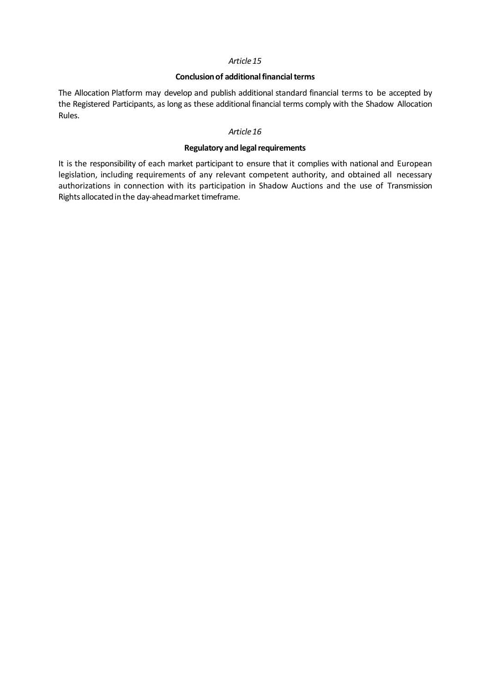### **Conclusion of additional financial terms**

The Allocation Platform may develop and publish additional standard financial terms to be accepted by the Registered Participants, as long as these additional financial terms comply with the Shadow Allocation Rules.

### *Article16*

## **Regulatory** and legal requirements

It is the responsibility of each market participant to ensure that it complies with national and European legislation, including requirements of any relevant competent authority, and obtained all necessary authorizations in connection with its participation in Shadow Auctions and the use of Transmission Rights allocated in the day-ahead market timeframe.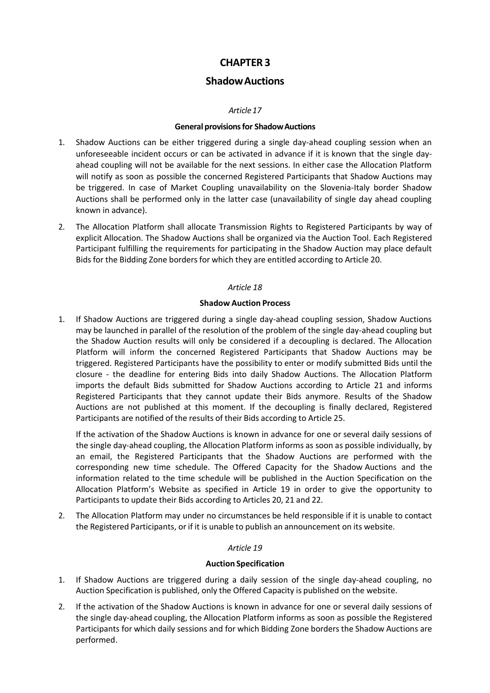# **ShadowAuctions**

## *Article17*

## **General provisionsfor ShadowAuctions**

- 1. Shadow Auctions can be either triggered during a single day-ahead coupling session when an unforeseeable incident occurs or can be activated in advance if it is known that the single day‐ ahead coupling will not be available for the next sessions. In either case the Allocation Platform will notify as soon as possible the concerned Registered Participants that Shadow Auctions may be triggered. In case of Market Coupling unavailability on the Slovenia-Italy border Shadow Auctions shall be performed only in the latter case (unavailability of single day ahead coupling known in advance).
- 2. The Allocation Platform shall allocate Transmission Rights to Registered Participants by way of explicit Allocation. The Shadow Auctions shall be organized via the Auction Tool. Each Registered Participant fulfilling the requirements for participating in the Shadow Auction may place default Bids for the Bidding Zone borders for which they are entitled according to Article 20.

## *Article 18*

## **Shadow Auction Process**

1. If Shadow Auctions are triggered during a single day-ahead coupling session, Shadow Auctions may be launched in parallel of the resolution of the problem of the single day‐ahead coupling but the Shadow Auction results will only be considered if a decoupling is declared. The Allocation Platform will inform the concerned Registered Participants that Shadow Auctions may be triggered. Registered Participants have the possibility to enter or modify submitted Bids until the closure ‐ the deadline for entering Bids into daily Shadow Auctions. The Allocation Platform imports the default Bids submitted for Shadow Auctions according to Article 21 and informs Registered Participants that they cannot update their Bids anymore. Results of the Shadow Auctions are not published at this moment. If the decoupling is finally declared, Registered Participants are notified of the results of their Bids according to Article 25.

If the activation of the Shadow Auctions is known in advance for one or several daily sessions of the single day‐ahead coupling, the Allocation Platform informs as soon as possible individually, by an email, the Registered Participants that the Shadow Auctions are performed with the corresponding new time schedule. The Offered Capacity for the Shadow Auctions and the information related to the time schedule will be published in the Auction Specification on the Allocation Platform's Website as specified in Article 19 in order to give the opportunity to Participants to update their Bids according to Articles 20, 21 and 22.

2. The Allocation Platform may under no circumstances be held responsible if it is unable to contact the Registered Participants, or if it is unable to publish an announcement on its website.

## *Article 19*

## **Auction Specification**

- 1. If Shadow Auctions are triggered during a daily session of the single day-ahead coupling, no Auction Specification is published, only the Offered Capacity is published on the website.
- 2. If the activation of the Shadow Auctions is known in advance for one or several daily sessions of the single day‐ahead coupling, the Allocation Platform informs as soon as possible the Registered Participants for which daily sessions and for which Bidding Zone borders the Shadow Auctions are performed.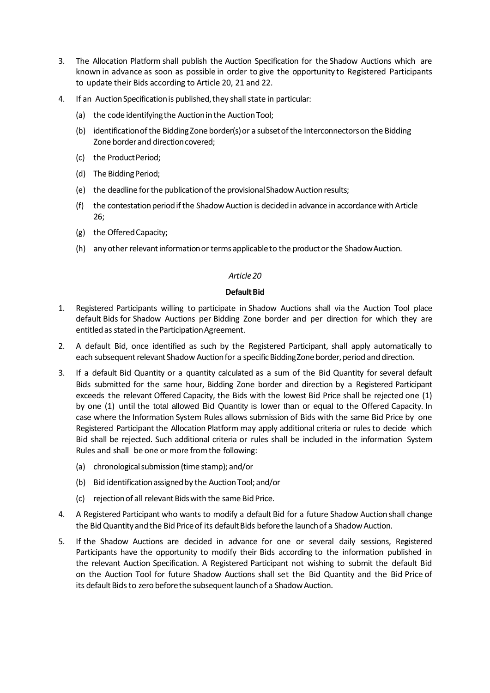- 3. The Allocation Platform shall publish the Auction Specification for the Shadow Auctions which are known in advance as soon as possible in order to give the opportunity to Registered Participants to update their Bids according to Article 20, 21 and 22.
- 4. If an Auction Specification is published, they shall state in particular:
	- (a) the code identifying the Auction in the Auction Tool;
	- (b) identificationofthe BiddingZone border(s)or a subsetofthe Interconnectorson the Bidding Zone border and direction covered;
	- (c) the Product Period:
	- (d) The Bidding Period;
	- (e) the deadline for the publication of the provisional Shadow Auction results;
	- (f) the contestation period if the Shadow Auction is decided in advance in accordance with Article 26;
	- (g) the OfferedCapacity;
	- (h) any other relevant information or terms applicable to the product or the Shadow Auction.

## **Default Bid**

- 1. Registered Participants willing to participate in Shadow Auctions shall via the Auction Tool place default Bids for Shadow Auctions per Bidding Zone border and per direction for which they are entitled as stated in the Participation Agreement.
- 2. A default Bid, once identified as such by the Registered Participant, shall apply automatically to each subsequent relevant Shadow Auction for a specific Bidding Zone border, period and direction.
- 3. If a default Bid Quantity or a quantity calculated as a sum of the Bid Quantity for several default Bids submitted for the same hour, Bidding Zone border and direction by a Registered Participant exceeds the relevant Offered Capacity, the Bids with the lowest Bid Price shall be rejected one (1) by one (1) until the total allowed Bid Quantity is lower than or equal to the Offered Capacity. In case where the Information System Rules allows submission of Bids with the same Bid Price by one Registered Participant the Allocation Platform may apply additional criteria or rules to decide which Bid shall be rejected. Such additional criteria or rules shall be included in the information System Rules and shall be one or more from the following:
	- (a) chronological submission (time stamp); and/or
	- (b) Bid identification assigned by the Auction Tool; and/or
	- (c) rejection of all relevant Bids with the same Bid Price.
- 4. A Registered Participant who wants to modify a default Bid for a future Shadow Auction shall change the Bid Quantity and the Bid Price of its default Bids before the launch of a Shadow Auction.
- 5. If the Shadow Auctions are decided in advance for one or several daily sessions, Registered Participants have the opportunity to modify their Bids according to the information published in the relevant Auction Specification. A Registered Participant not wishing to submit the default Bid on the Auction Tool for future Shadow Auctions shall set the Bid Quantity and the Bid Price of its default Bids to zero before the subsequent launch of a Shadow Auction.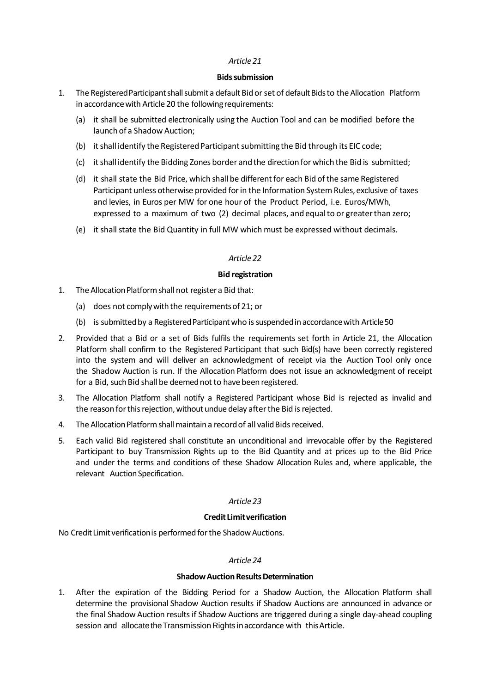### **Bids submission**

- 1. The Registered Participant shall submit a default Bid or set of default Bids to the Allocation Platform in accordance with Article 20 the following requirements:
	- (a) it shall be submitted electronically using the Auction Tool and can be modified before the launch of a Shadow Auction;
	- (b) it shall identify the Registered Participant submitting the Bid through its EIC code;
	- (c) itshall identify the Bidding Zones border and the direction for which the Bid is submitted;
	- (d) it shall state the Bid Price, which shall be different for each Bid of the same Registered Participant unless otherwise provided forin the Information System Rules, exclusive of taxes and levies, in Euros per MW for one hour of the Product Period, i.e. Euros/MWh, expressed to a maximum of two (2) decimal places, and equalto or greaterthan zero;
	- (e) it shall state the Bid Quantity in full MW which must be expressed without decimals.

## *Article22*

### **Bid registration**

- 1. The Allocation Platform shall not register a Bid that:
	- (a) does not complywith the requirementsof 21; or
	- (b) is submitted by a Registered Participant who is suspended in accordance with Article 50
- 2. Provided that a Bid or a set of Bids fulfils the requirements set forth in Article 21, the Allocation Platform shall confirm to the Registered Participant that such Bid(s) have been correctly registered into the system and will deliver an acknowledgment of receipt via the Auction Tool only once the Shadow Auction is run. If the Allocation Platform does not issue an acknowledgment of receipt for a Bid, such Bid shall be deemed not to have been registered.
- 3. The Allocation Platform shall notify a Registered Participant whose Bid is rejected as invalid and the reason for this rejection, without undue delay after the Bid is rejected.
- 4. The Allocation Platform shall maintain a record of all valid Bids received.
- 5. Each valid Bid registered shall constitute an unconditional and irrevocable offer by the Registered Participant to buy Transmission Rights up to the Bid Quantity and at prices up to the Bid Price and under the terms and conditions of these Shadow Allocation Rules and, where applicable, the relevant Auction Specification.

## *Article23*

## **Credit Limitverification**

No CreditLimit verificationis performed forthe ShadowAuctions.

## *Article24*

## **Shadow Auction Results Determination**

1. After the expiration of the Bidding Period for a Shadow Auction, the Allocation Platform shall determine the provisional Shadow Auction results if Shadow Auctions are announced in advance or the final Shadow Auction resultsif Shadow Auctions are triggered during a single day‐ahead coupling session and allocate the Transmission Rights in accordance with this Article.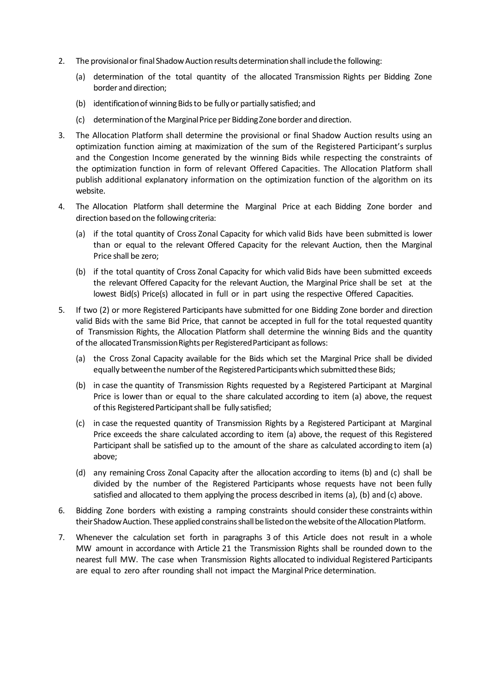- 2. The provisional or final Shadow Auction results determination shall include the following:
	- (a) determination of the total quantity of the allocated Transmission Rights per Bidding Zone border and direction;
	- (b) identification of winning Bids to be fully or partially satisfied; and
	- (c) determinationofthe MarginalPrice per BiddingZoneborder and direction.
- 3. The Allocation Platform shall determine the provisional or final Shadow Auction results using an optimization function aiming at maximization of the sum of the Registered Participant's surplus and the Congestion Income generated by the winning Bids while respecting the constraints of the optimization function in form of relevant Offered Capacities. The Allocation Platform shall publish additional explanatory information on the optimization function of the algorithm on its website.
- 4. The Allocation Platform shall determine the Marginal Price at each Bidding Zone border and direction based on the following criteria:
	- (a) if the total quantity of Cross Zonal Capacity for which valid Bids have been submitted is lower than or equal to the relevant Offered Capacity for the relevant Auction, then the Marginal Price shall be zero;
	- (b) if the total quantity of Cross Zonal Capacity for which valid Bids have been submitted exceeds the relevant Offered Capacity for the relevant Auction, the Marginal Price shall be set at the lowest Bid(s) Price(s) allocated in full or in part using the respective Offered Capacities.
- 5. If two (2) or more Registered Participants have submitted for one Bidding Zone border and direction valid Bids with the same Bid Price, that cannot be accepted in full for the total requested quantity of Transmission Rights, the Allocation Platform shall determine the winning Bids and the quantity of the allocated Transmission Rights per Registered Participant as follows:
	- (a) the Cross Zonal Capacity available for the Bids which set the Marginal Price shall be divided equally between the number of the Registered Participants which submitted these Bids;
	- (b) in case the quantity of Transmission Rights requested by a Registered Participant at Marginal Price is lower than or equal to the share calculated according to item (a) above, the request of this Registered Participant shall be fully satisfied;
	- (c) in case the requested quantity of Transmission Rights by a Registered Participant at Marginal Price exceeds the share calculated according to item (a) above, the request of this Registered Participant shall be satisfied up to the amount of the share as calculated according to item (a) above;
	- (d) any remaining Cross Zonal Capacity after the allocation according to items (b) and (c) shall be divided by the number of the Registered Participants whose requests have not been fully satisfied and allocated to them applying the process described in items (a), (b) and (c) above.
- 6. Bidding Zone borders with existing a ramping constraints should consider these constraints within their Shadow Auction. These applied constrains shall be listed on the website of the Allocation Platform.
- 7. Whenever the calculation set forth in paragraphs 3 of this Article does not result in a whole MW amount in accordance with Article 21 the Transmission Rights shall be rounded down to the nearest full MW. The case when Transmission Rights allocated to individual Registered Participants are equal to zero after rounding shall not impact the Marginal Price determination.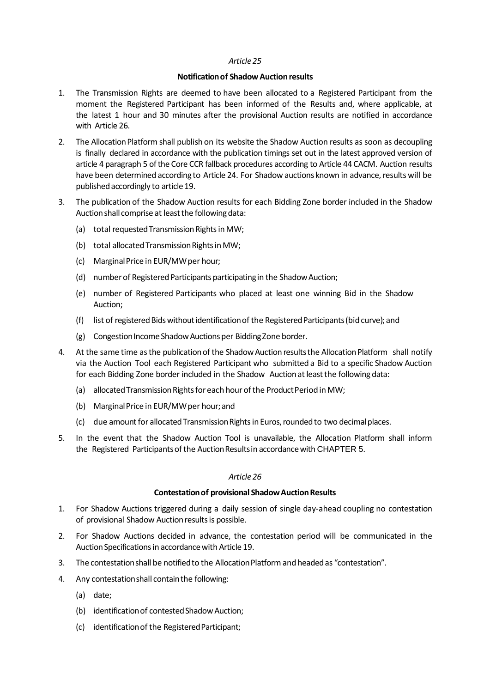## **Notificationof ShadowAuctionresults**

- 1. The Transmission Rights are deemed to have been allocated to a Registered Participant from the moment the Registered Participant has been informed of the Results and, where applicable, at the latest 1 hour and 30 minutes after the provisional Auction results are notified in accordance with Article 26.
- 2. The Allocation Platform shall publish on its website the Shadow Auction results as soon as decoupling is finally declared in accordance with the publication timings set out in the latest approved version of article 4 paragraph 5 of the Core CCR fallback procedures according to Article 44 CACM. Auction results have been determined according to Article 24. For Shadow auctions known in advance, results will be published accordingly to article 19.
- 3. The publication of the Shadow Auction results for each Bidding Zone border included in the Shadow Auction shall comprise at least the following data:
	- (a) total requested Transmission Rights in MW;
	- (b) total allocated Transmission Rights in MW;
	- (c) MarginalPrice in EUR/MWper hour;
	- (d) number of Registered Participants participating in the Shadow Auction;
	- (e) number of Registered Participants who placed at least one winning Bid in the Shadow Auction;
	- (f) list of registered Bids without identification of the Registered Participants (bid curve); and
	- (g) Congestion Income Shadow Auctions per Bidding Zone border.
- 4. At the same time as the publication of the Shadow Auction results the Allocation Platform shall notify via the Auction Tool each Registered Participant who submitted a Bid to a specific Shadow Auction for each Bidding Zone border included in the Shadow Auction at least the following data:
	- (a) allocated Transmission Rights for each hour of the Product Period in MW;
	- (b) MarginalPrice in EUR/MWper hour; and
	- (c) due amount for allocated Transmission Rights in Euros, rounded to two decimal places.
- 5. In the event that the Shadow Auction Tool is unavailable, the Allocation Platform shall inform the Registered Participants of the Auction Results in accordance with CHAPTER 5.

## *Article26*

## **Contestationof provisional ShadowAuctionResults**

- 1. For Shadow Auctions triggered during a daily session of single day‐ahead coupling no contestation of provisional Shadow Auction results is possible.
- 2. For Shadow Auctions decided in advance, the contestation period will be communicated in the Auction Specifications in accordance with Article 19.
- 3. The contestation shall be notified to the Allocation Platform and headed as "contestation".
- 4. Any contestationshall containthe following:
	- (a) date;
	- (b) identification of contested Shadow Auction;
	- (c) identificationof the RegisteredParticipant;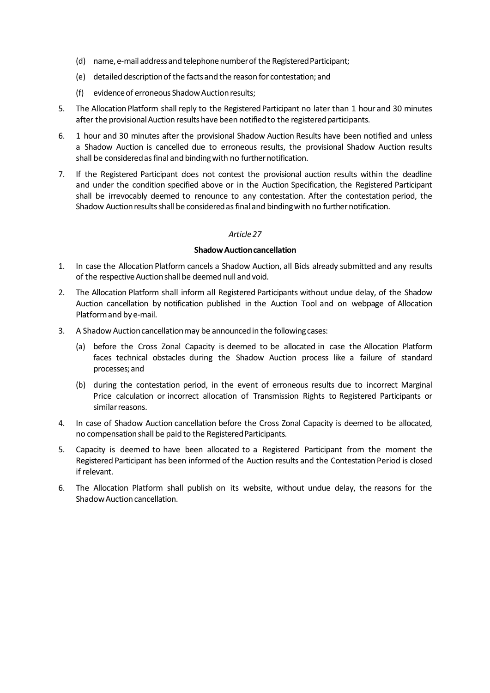- (d) name, e-mail address and telephone number of the Registered Participant;
- (e) detailed descriptionof the factsand the reason for contestation;and
- (f) evidence of erroneous Shadow Auction results;
- 5. The Allocation Platform shall reply to the Registered Participant no later than 1 hour and 30 minutes after the provisional Auction results have been notified to the registered participants.
- 6. 1 hour and 30 minutes after the provisional Shadow Auction Results have been notified and unless a Shadow Auction is cancelled due to erroneous results, the provisional Shadow Auction results shall be considered as final and binding with no further notification.
- 7. If the Registered Participant does not contest the provisional auction results within the deadline and under the condition specified above or in the Auction Specification, the Registered Participant shall be irrevocably deemed to renounce to any contestation. After the contestation period, the Shadow Auction results shall be considered as final and binding with no further notification.

### **ShadowAuctioncancellation**

- 1. In case the Allocation Platform cancels a Shadow Auction, all Bids already submitted and any results of the respective Auction shall be deemed null and void.
- 2. The Allocation Platform shall inform all Registered Participants without undue delay, of the Shadow Auction cancellation by notification published in the Auction Tool and on webpage of Allocation Platformand bye‐mail.
- 3. A Shadow Auction cancellation may be announced in the following cases:
	- (a) before the Cross Zonal Capacity is deemed to be allocated in case the Allocation Platform faces technical obstacles during the Shadow Auction process like a failure of standard processes; and
	- (b) during the contestation period, in the event of erroneous results due to incorrect Marginal Price calculation or incorrect allocation of Transmission Rights to Registered Participants or similarreasons.
- 4. In case of Shadow Auction cancellation before the Cross Zonal Capacity is deemed to be allocated, no compensation shall be paid to the Registered Participants.
- 5. Capacity is deemed to have been allocated to a Registered Participant from the moment the Registered Participant has been informed of the Auction results and the Contestation Period is closed if relevant.
- 6. The Allocation Platform shall publish on its website, without undue delay, the reasons for the Shadow Auction cancellation.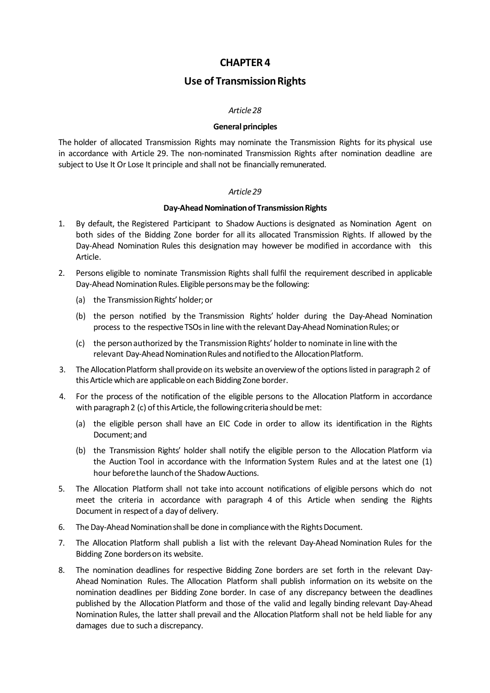# **Use of Transmission Rights**

### *Article28*

### **General principles**

The holder of allocated Transmission Rights may nominate the Transmission Rights for its physical use in accordance with Article 29. The non-nominated Transmission Rights after nomination deadline are subject to Use It Or Lose It principle and shall not be financially remunerated.

### *Article29*

### **Day-Ahead Nomination of Transmission Rights**

- 1. By default, the Registered Participant to Shadow Auctions is designated as Nomination Agent on both sides of the Bidding Zone border for all its allocated Transmission Rights. If allowed by the Day‐Ahead Nomination Rules this designation may however be modified in accordance with this Article.
- 2. Persons eligible to nominate Transmission Rights shall fulfil the requirement described in applicable Day-Ahead Nomination Rules. Eligible persons may be the following:
	- (a) the Transmission Rights' holder; or
	- (b) the person notified by the Transmission Rights' holder during the Day‐Ahead Nomination process to the respective TSOs in line with the relevant Day-Ahead Nomination Rules; or
	- (c) the personauthorized by the Transmission Rights' holderto nominate in line with the relevant Day-Ahead Nomination Rules and notified to the Allocation Platform.
- 3. The Allocation Platform shall provide on its website an overview of the options listed in paragraph 2 of this Article which are applicable on each Bidding Zone border.
- 4. For the process of the notification of the eligible persons to the Allocation Platform in accordance with paragraph 2 (c) of this Article, the following criteria should be met:
	- (a) the eligible person shall have an EIC Code in order to allow its identification in the Rights Document; and
	- (b) the Transmission Rights' holder shall notify the eligible person to the Allocation Platform via the Auction Tool in accordance with the Information System Rules and at the latest one (1) hour before the launch of the Shadow Auctions.
- 5. The Allocation Platform shall not take into account notifications of eligible persons which do not meet the criteria in accordance with paragraph 4 of this Article when sending the Rights Document in respectof a day of delivery.
- 6. The Day-Ahead Nomination shall be done in compliance with the Rights Document.
- 7. The Allocation Platform shall publish a list with the relevant Day-Ahead Nomination Rules for the Bidding Zone borderson its website.
- 8. The nomination deadlines for respective Bidding Zone borders are set forth in the relevant Day‐ Ahead Nomination Rules. The Allocation Platform shall publish information on its website on the nomination deadlines per Bidding Zone border. In case of any discrepancy between the deadlines published by the Allocation Platform and those of the valid and legally binding relevant Day‐Ahead Nomination Rules, the latter shall prevail and the Allocation Platform shall not be held liable for any damages due to such a discrepancy.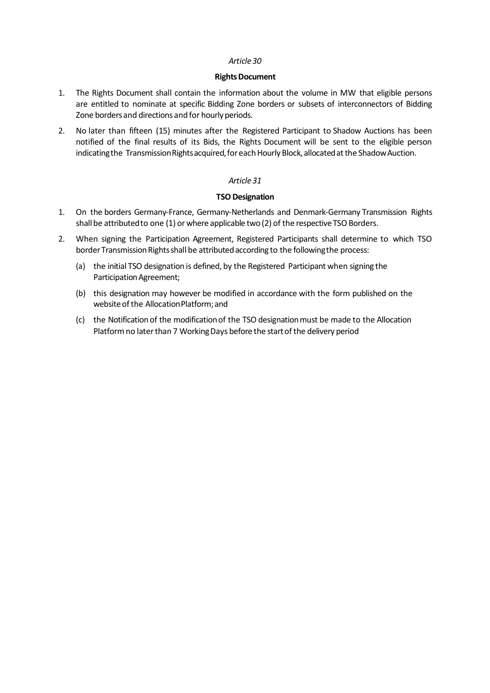### **Rights Document**

- 1. The Rights Document shall contain the information about the volume in MW that eligible persons are entitled to nominate at specific Bidding Zone borders or subsets of interconnectors of Bidding Zone borders and directions and for hourly periods.
- 2. No later than fifteen (15) minutes after the Registered Participant to Shadow Auctions has been notified of the final results of its Bids, the Rights Document will be sent to the eligible person indicating the Transmission Rights acquired, for each Hourly Block, allocated at the Shadow Auction.

## *Article31*

## **TSO Designation**

- 1. On the borders Germany‐France, Germany‐Netherlands and Denmark‐Germany Transmission Rights shall be attributed to one (1) or where applicable two (2) of the respective TSO Borders.
- 2. When signing the Participation Agreement, Registered Participants shall determine to which TSO border Transmission Rights shall be attributed according to the following the process:
	- (a) the initial TSO designation is defined, by the Registered Participant when signing the Participation Agreement;
	- (b) this designation may however be modified in accordance with the form published on the website of the Allocation Platform; and
	- (c) the Notification of the modificationof the TSO designationmust be made to the Allocation Platform no later than 7 Working Days before the start of the delivery period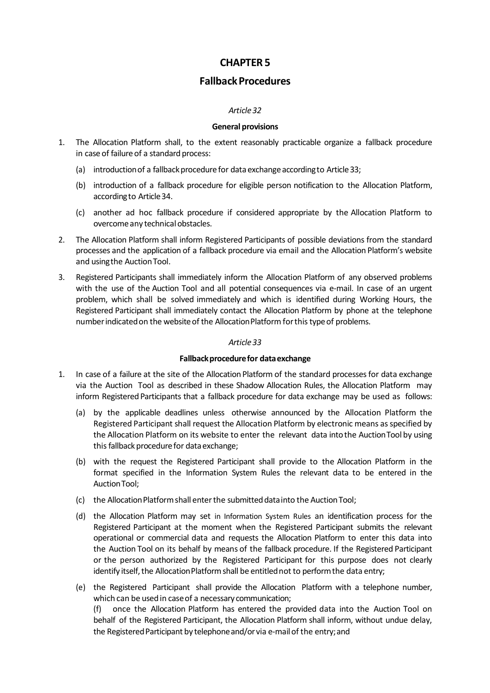# **FallbackProcedures**

## *Article32*

### **General provisions**

- 1. The Allocation Platform shall, to the extent reasonably practicable organize a fallback procedure in case of failure of a standard process:
	- (a) introduction of a fallback procedure for data exchange according to Article 33;
	- (b) introduction of a fallback procedure for eligible person notification to the Allocation Platform, accordingto Article34.
	- (c) another ad hoc fallback procedure if considered appropriate by the Allocation Platform to overcome any technical obstacles.
- 2. The Allocation Platform shall inform Registered Participants of possible deviations from the standard processes and the application of a fallback procedure via email and the Allocation Platform's website and using the Auction Tool.
- 3. Registered Participants shall immediately inform the Allocation Platform of any observed problems with the use of the Auction Tool and all potential consequences via e-mail. In case of an urgent problem, which shall be solved immediately and which is identified during Working Hours, the Registered Participant shall immediately contact the Allocation Platform by phone at the telephone number indicated on the website of the Allocation Platform for this type of problems.

## *Article33*

## **Fallbackprocedurefor dataexchange**

- 1. In case of a failure at the site of the Allocation Platform of the standard processesfor data exchange via the Auction Tool as described in these Shadow Allocation Rules, the Allocation Platform may inform Registered Participants that a fallback procedure for data exchange may be used as follows:
	- (a) by the applicable deadlines unless otherwise announced by the Allocation Platform the Registered Participant shall request the Allocation Platform by electronic means as specified by the Allocation Platform on its website to enter the relevant data intothe AuctionTool by using this fallback procedure for data exchange;
	- (b) with the request the Registered Participant shall provide to the Allocation Platform in the format specified in the Information System Rules the relevant data to be entered in the AuctionTool;
	- (c) the Allocation Platform shall enter the submitted data into the Auction Tool;
	- (d) the Allocation Platform may set in Information System Rules an identification process for the Registered Participant at the moment when the Registered Participant submits the relevant operational or commercial data and requests the Allocation Platform to enter this data into the Auction Tool on its behalf by means of the fallback procedure. If the Registered Participant or the person authorized by the Registered Participant for this purpose does not clearly identify itself, the Allocation Platform shall be entitled not to perform the data entry;
	- (e) the Registered Participant shall provide the Allocation Platform with a telephone number, which can be used in caseof a necessary communication; (f) once the Allocation Platform has entered the provided data into the Auction Tool on

behalf of the Registered Participant, the Allocation Platform shall inform, without undue delay, the Registered Participant by telephone and/or via e-mail of the entry; and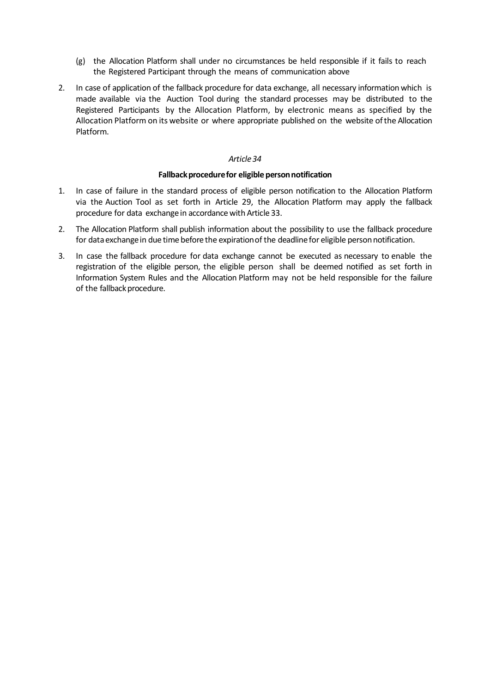- (g) the Allocation Platform shall under no circumstances be held responsible if it fails to reach the Registered Participant through the means of communication above
- 2. In case of application of the fallback procedure for data exchange, all necessary information which is made available via the Auction Tool during the standard processes may be distributed to the Registered Participants by the Allocation Platform, by electronic means as specified by the Allocation Platform on its website or where appropriate published on the website ofthe Allocation Platform.

### **Fallback procedure for eligible person notification**

- 1. In case of failure in the standard process of eligible person notification to the Allocation Platform via the Auction Tool as set forth in Article 29, the Allocation Platform may apply the fallback procedure for data exchange in accordance with Article 33.
- 2. The Allocation Platform shall publish information about the possibility to use the fallback procedure for data exchange in due time before the expiration of the deadline for eligible person notification.
- 3. In case the fallback procedure for data exchange cannot be executed as necessary to enable the registration of the eligible person, the eligible person shall be deemed notified as set forth in Information System Rules and the Allocation Platform may not be held responsible for the failure of the fallback procedure.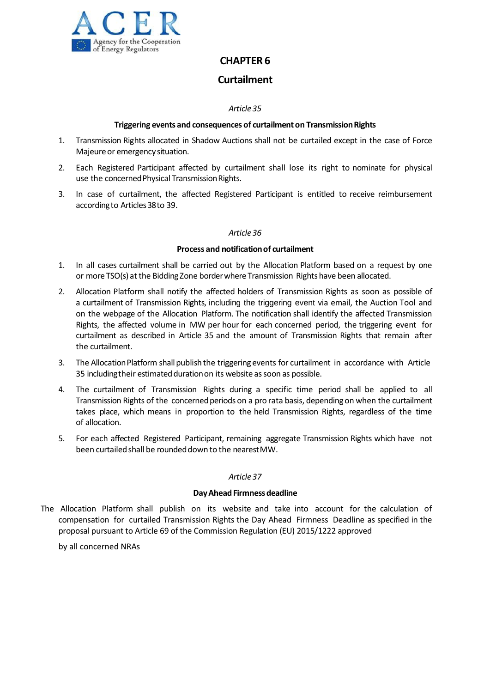

# **Curtailment**

## *Article35*

## **Triggering events and consequences of curtailmenton TransmissionRights**

- 1. Transmission Rights allocated in Shadow Auctions shall not be curtailed except in the case of Force Majeure or emergency situation.
- 2. Each Registered Participant affected by curtailment shall lose its right to nominate for physical use the concerned Physical Transmission Rights.
- 3. In case of curtailment, the affected Registered Participant is entitled to receive reimbursement accordingto Articles38to 39.

## *Article36*

## **Process and notificationof curtailment**

- 1. In all cases curtailment shall be carried out by the Allocation Platform based on a request by one or more TSO(s) atthe Bidding Zone borderwhere Transmission Rightshave been allocated.
- 2. Allocation Platform shall notify the affected holders of Transmission Rights as soon as possible of a curtailment of Transmission Rights, including the triggering event via email, the Auction Tool and on the webpage of the Allocation Platform. The notification shall identify the affected Transmission Rights, the affected volume in MW per hour for each concerned period, the triggering event for curtailment as described in Article 35 and the amount of Transmission Rights that remain after the curtailment.
- 3. The Allocation Platform shall publish the triggering events for curtailment in accordance with Article 35 including their estimated duration on its website as soon as possible.
- 4. The curtailment of Transmission Rights during a specific time period shall be applied to all Transmission Rights of the concerned periods on a pro rata basis, depending on when the curtailment takes place, which means in proportion to the held Transmission Rights, regardless of the time of allocation.
- 5. For each affected Registered Participant, remaining aggregate Transmission Rights which have not been curtailed shall be rounded down to the nearest MW.

## *Article37*

## **Day Ahead Firmness deadline**

The Allocation Platform shall publish on its website and take into account for the calculation of compensation for curtailed Transmission Rights the Day Ahead Firmness Deadline as specified in the proposal pursuant to Article 69 of the Commission Regulation (EU) 2015/1222 approved

by all concerned NRAs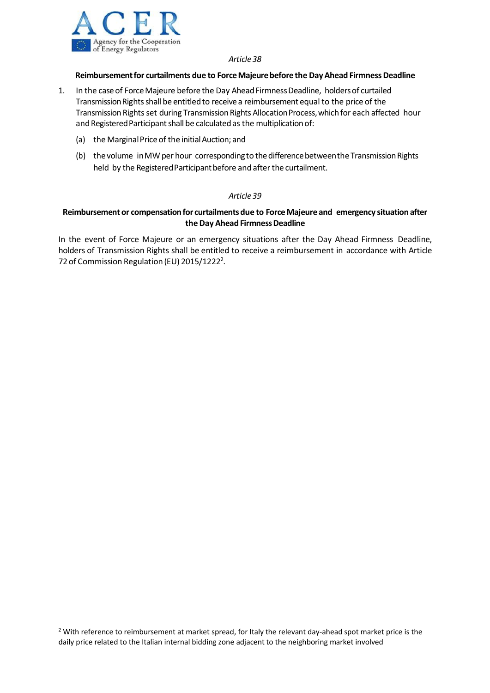

## **Reimbursementfor curtailments due to ForceMajeurebefore the DayAhead FirmnessDeadline**

- 1. In the case of Force Majeure before the Day Ahead Firmness Deadline, holders of curtailed Transmission Rights shall be entitled to receive a reimbursement equal to the price of the Transmission Rights set during Transmission Rights Allocation Process, which for each affected hour and Registered Participant shall be calculated as the multiplication of:
	- (a) the Marginal Price of the initial Auction; and
	- (b) the volume in MW per hour corresponding to the difference between the Transmission Rights held by the Registered Participant before and after the curtailment.

## *Article39*

## **Reimbursementor compensationfor curtailmentsdue to ForceMajeure and emergency situation after theDay Ahead FirmnessDeadline**

In the event of Force Majeure or an emergency situations after the Day Ahead Firmness Deadline, holders of Transmission Rights shall be entitled to receive a reimbursement in accordance with Article 72 of Commission Regulation (EU) 2015/1222<sup>2</sup>.

<sup>&</sup>lt;sup>2</sup> With reference to reimbursement at market spread, for Italy the relevant day-ahead spot market price is the daily price related to the Italian internal bidding zone adjacent to the neighboring market involved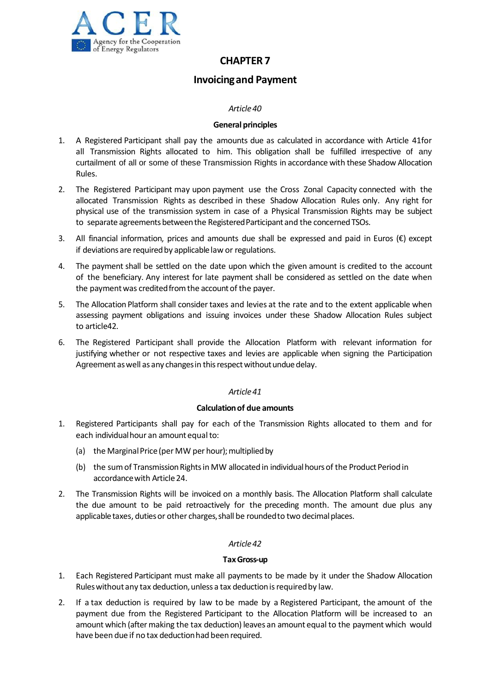

# **Invoicingand Payment**

## *Article40*

## **General principles**

- 1. A Registered Participant shall pay the amounts due as calculated in accordance with Article 41for all Transmission Rights allocated to him. This obligation shall be fulfilled irrespective of any curtailment of all or some of these Transmission Rights in accordance with these Shadow Allocation Rules.
- 2. The Registered Participant may upon payment use the Cross Zonal Capacity connected with the allocated Transmission Rights as described in these Shadow Allocation Rules only. Any right for physical use of the transmission system in case of a Physical Transmission Rights may be subject to separate agreements between the Registered Participant and the concerned TSOs.
- 3. All financial information, prices and amounts due shall be expressed and paid in Euros ( $\varepsilon$ ) except if deviations are required by applicable law or regulations.
- 4. The payment shall be settled on the date upon which the given amount is credited to the account of the beneficiary. Any interest for late payment shall be considered as settled on the date when the payment was credited from the account of the payer.
- 5. The Allocation Platform shall consider taxes and levies at the rate and to the extent applicable when assessing payment obligations and issuing invoices under these Shadow Allocation Rules subject to article42.
- 6. The Registered Participant shall provide the Allocation Platform with relevant information for justifying whether or not respective taxes and levies are applicable when signing the Participation Agreement as well as any changes in this respect without undue delay.

## *Article41*

## **Calculationof due amounts**

- 1. Registered Participants shall pay for each of the Transmission Rights allocated to them and for each individual hour an amount equal to:
	- (a) the Marginal Price (per MW per hour); multiplied by
	- (b) the sum of Transmission Rights in MW allocated in individual hours of the Product Period in accordance with Article 24.
- 2. The Transmission Rights will be invoiced on a monthly basis. The Allocation Platform shall calculate the due amount to be paid retroactively for the preceding month. The amount due plus any applicable taxes, duties or other charges, shall be rounded to two decimal places.

## *Article42*

## **TaxGross‐up**

- 1. Each Registered Participant must make all payments to be made by it under the Shadow Allocation Rules without any tax deduction, unless a tax deduction is required by law.
- 2. If a tax deduction is required by law to be made by a Registered Participant, the amount of the payment due from the Registered Participant to the Allocation Platform will be increased to an amount which (aftermaking the tax deduction) leaves an amount equal to the payment which would have been due if no tax deductionhad been required.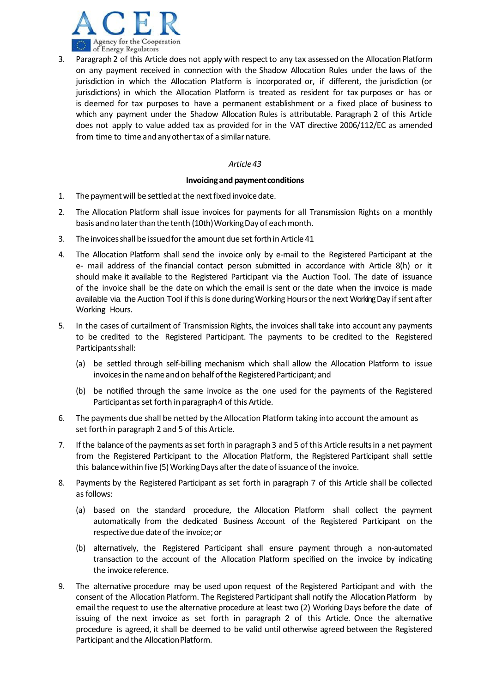

3. Paragraph 2 of this Article does not apply with respectto any tax assessed on the Allocation Platform on any payment received in connection with the Shadow Allocation Rules under the laws of the jurisdiction in which the Allocation Platform is incorporated or, if different, the jurisdiction (or jurisdictions) in which the Allocation Platform is treated as resident for tax purposes or has or is deemed for tax purposes to have a permanent establishment or a fixed place of business to which any payment under the Shadow Allocation Rules is attributable. Paragraph 2 of this Article does not apply to value added tax as provided for in the VAT directive 2006/112/EC as amended from time to time and any other tax of a similar nature.

### *Article43*

### **Invoicingand paymentconditions**

- 1. The payment will be settled at the next fixed invoice date.
- 2. The Allocation Platform shall issue invoices for payments for all Transmission Rights on a monthly basis and no later than the tenth (10th) Working Day of each month.
- 3. The invoicesshall be issuedforthe amount due set forthin Article 41
- 4. The Allocation Platform shall send the invoice only by e-mail to the Registered Participant at the e‐ mail address of the financial contact person submitted in accordance with Article 8(h) or it should make it available to the Registered Participant via the Auction Tool. The date of issuance of the invoice shall be the date on which the email is sent or the date when the invoice is made available via the Auction Tool if this is done during Working Hours or the next Working Day if sent after Working Hours.
- 5. In the cases of curtailment of Transmission Rights, the invoices shall take into account any payments to be credited to the Registered Participant. The payments to be credited to the Registered Participantsshall:
	- (a) be settled through self‐billing mechanism which shall allow the Allocation Platform to issue invoices in the name and on behalf of the Registered Participant; and
	- (b) be notified through the same invoice as the one used for the payments of the Registered Participantasset forth in paragraph4 of this Article.
- 6. The payments due shall be netted by the Allocation Platform taking into account the amount as set forth in paragraph 2 and 5 of this Article.
- 7. If the balance of the payments asset forth in paragraph 3 and 5 of this Article resultsin a net payment from the Registered Participant to the Allocation Platform, the Registered Participant shall settle this balance within five (5) Working Days after the date of issuance of the invoice.
- 8. Payments by the Registered Participant as set forth in paragraph 7 of this Article shall be collected as follows:
	- (a) based on the standard procedure, the Allocation Platform shall collect the payment automatically from the dedicated Business Account of the Registered Participant on the respective due date of the invoice; or
	- (b) alternatively, the Registered Participant shall ensure payment through a non‐automated transaction to the account of the Allocation Platform specified on the invoice by indicating the invoice reference.
- 9. The alternative procedure may be used upon request of the Registered Participant and with the consent of the Allocation Platform. The Registered Participant shall notify the Allocation Platform by email the request to use the alternative procedure at least two (2) Working Days before the date of issuing of the next invoice as set forth in paragraph 2 of this Article. Once the alternative procedure is agreed, it shall be deemed to be valid until otherwise agreed between the Registered Participant and the Allocation Platform.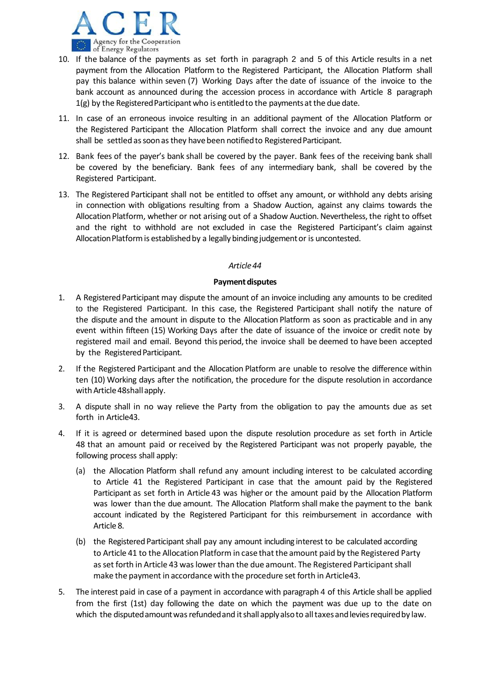

- 10. If the balance of the payments as set forth in paragraph 2 and 5 of this Article results in a net payment from the Allocation Platform to the Registered Participant, the Allocation Platform shall pay this balance within seven (7) Working Days after the date of issuance of the invoice to the bank account as announced during the accession process in accordance with Article 8 paragraph 1(g) by the Registered Participant who is entitled to the payments at the due date.
- 11. In case of an erroneous invoice resulting in an additional payment of the Allocation Platform or the Registered Participant the Allocation Platform shall correct the invoice and any due amount shall be settled as soon as they have been notified to Registered Participant.
- 12. Bank fees of the payer's bank shall be covered by the payer. Bank fees of the receiving bank shall be covered by the beneficiary. Bank fees of any intermediary bank, shall be covered by the Registered Participant.
- 13. The Registered Participant shall not be entitled to offset any amount, or withhold any debts arising in connection with obligations resulting from a Shadow Auction, against any claims towards the Allocation Platform, whether or not arising out of a Shadow Auction. Nevertheless, the right to offset and the right to withhold are not excluded in case the Registered Participant's claim against Allocation Platform is established by a legally binding judgement or is uncontested.

## **Payment disputes**

- 1. A Registered Participant may dispute the amount of an invoice including any amounts to be credited to the Registered Participant. In this case, the Registered Participant shall notify the nature of the dispute and the amount in dispute to the Allocation Platform as soon as practicable and in any event within fifteen (15) Working Days after the date of issuance of the invoice or credit note by registered mail and email. Beyond this period, the invoice shall be deemed to have been accepted by the Registered Participant.
- 2. If the Registered Participant and the Allocation Platform are unable to resolve the difference within ten (10) Working days after the notification, the procedure for the dispute resolution in accordance with Article 48shall apply.
- 3. A dispute shall in no way relieve the Party from the obligation to pay the amounts due as set forth in Article43.
- 4. If it is agreed or determined based upon the dispute resolution procedure as set forth in Article 48 that an amount paid or received by the Registered Participant was not properly payable, the following process shall apply:
	- (a) the Allocation Platform shall refund any amount including interest to be calculated according to Article 41 the Registered Participant in case that the amount paid by the Registered Participant as set forth in Article 43 was higher or the amount paid by the Allocation Platform was lower than the due amount. The Allocation Platform shall make the payment to the bank account indicated by the Registered Participant for this reimbursement in accordance with Article 8.
	- (b) the Registered Participant shall pay any amount including interest to be calculated according to Article 41 to the Allocation Platform in case that the amount paid by the Registered Party as set forth in Article 43 was lower than the due amount. The Registered Participant shall make the payment in accordance with the procedure set forth in Article43.
- 5. The interest paid in case of a payment in accordance with paragraph 4 of this Article shall be applied from the first (1st) day following the date on which the payment was due up to the date on which the disputed amount was refunded and it shall apply also to all taxes and levies required by law.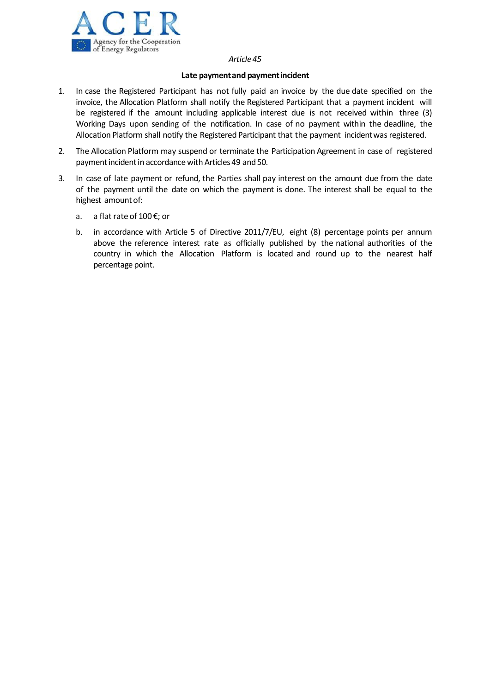

### **Late paymentand paymentincident**

- 1. In case the Registered Participant has not fully paid an invoice by the due date specified on the invoice, the Allocation Platform shall notify the Registered Participant that a payment incident will be registered if the amount including applicable interest due is not received within three (3) Working Days upon sending of the notification. In case of no payment within the deadline, the Allocation Platform shall notify the Registered Participant that the payment incidentwas registered.
- 2. The Allocation Platform may suspend or terminate the Participation Agreement in case of registered payment incident in accordance with Articles 49 and 50.
- 3. In case of late payment or refund, the Parties shall pay interest on the amount due from the date of the payment until the date on which the payment is done. The interest shall be equal to the highest amountof:
	- a. a flat rate of 100 €; or
	- b. in accordance with Article 5 of Directive 2011/7/EU, eight (8) percentage points per annum above the reference interest rate as officially published by the national authorities of the country in which the Allocation Platform is located and round up to the nearest half percentage point.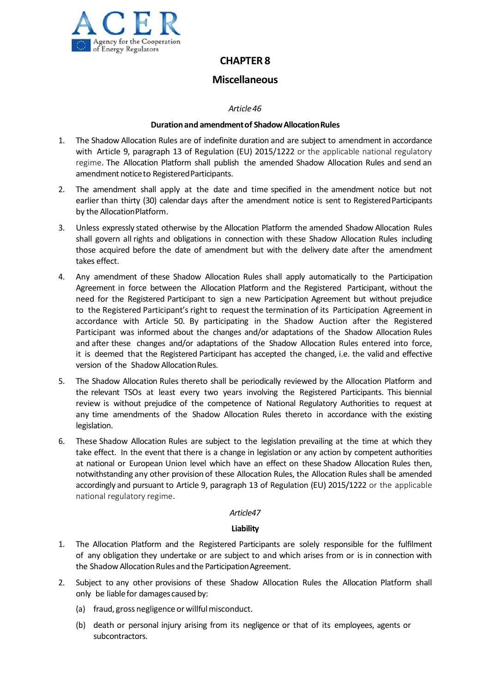

## **Miscellaneous**

## *Article46*

## **Durationand amendmentof ShadowAllocationRules**

- 1. The Shadow Allocation Rules are of indefinite duration and are subject to amendment in accordance with Article 9, paragraph 13 of Regulation (EU) 2015/1222 or the applicable national regulatory regime. The Allocation Platform shall publish the amended Shadow Allocation Rules and send an amendment notice to Registered Participants.
- 2. The amendment shall apply at the date and time specified in the amendment notice but not earlier than thirty (30) calendar days after the amendment notice is sent to Registered Participants by the Allocation Platform.
- 3. Unless expressly stated otherwise by the Allocation Platform the amended Shadow Allocation Rules shall govern all rights and obligations in connection with these Shadow Allocation Rules including those acquired before the date of amendment but with the delivery date after the amendment takes effect.
- 4. Any amendment of these Shadow Allocation Rules shall apply automatically to the Participation Agreement in force between the Allocation Platform and the Registered Participant, without the need for the Registered Participant to sign a new Participation Agreement but without prejudice to the Registered Participant's right to request the termination of its Participation Agreement in accordance with Article 50. By participating in the Shadow Auction after the Registered Participant was informed about the changes and/or adaptations of the Shadow Allocation Rules and after these changes and/or adaptations of the Shadow Allocation Rules entered into force, it is deemed that the Registered Participant has accepted the changed, i.e. the valid and effective version of the Shadow Allocation Rules.
- 5. The Shadow Allocation Rules thereto shall be periodically reviewed by the Allocation Platform and the relevant TSOs at least every two years involving the Registered Participants. This biennial review is without prejudice of the competence of National Regulatory Authorities to request at any time amendments of the Shadow Allocation Rules thereto in accordance with the existing legislation.
- 6. These Shadow Allocation Rules are subject to the legislation prevailing at the time at which they take effect. In the event that there is a change in legislation or any action by competent authorities at national or European Union level which have an effect on these Shadow Allocation Rules then, notwithstanding any other provision of these Allocation Rules, the Allocation Rules shall be amended accordingly and pursuant to Article 9, paragraph 13 of Regulation (EU) 2015/1222 or the applicable national regulatory regime.

## *Article47*

## **Liability**

- 1. The Allocation Platform and the Registered Participants are solely responsible for the fulfilment of any obligation they undertake or are subject to and which arises from or is in connection with the Shadow Allocation Rules and the Participation Agreement.
- 2. Subject to any other provisions of these Shadow Allocation Rules the Allocation Platform shall only be liable for damages caused by:
	- (a) fraud, gross negligence or willfulmisconduct.
	- (b) death or personal injury arising from its negligence or that of its employees, agents or subcontractors.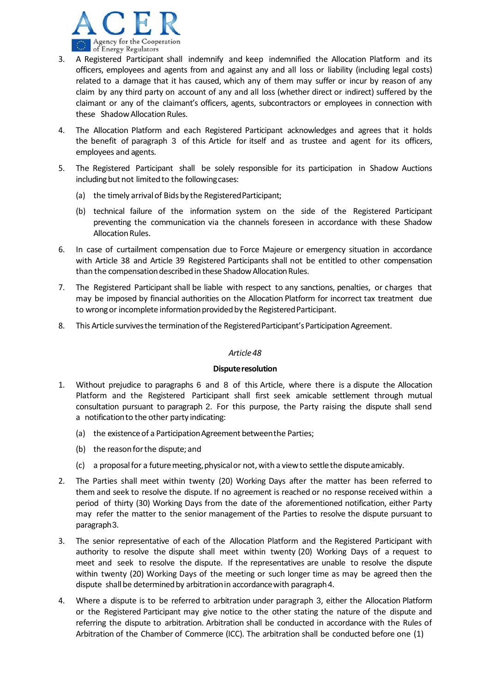

- 3. A Registered Participant shall indemnify and keep indemnified the Allocation Platform and its officers, employees and agents from and against any and all loss or liability (including legal costs) related to a damage that it has caused, which any of them may suffer or incur by reason of any claim by any third party on account of any and all loss (whether direct or indirect) suffered by the claimant or any of the claimant's officers, agents, subcontractors or employees in connection with these Shadow Allocation Rules.
- 4. The Allocation Platform and each Registered Participant acknowledges and agrees that it holds the benefit of paragraph 3 of this Article for itself and as trustee and agent for its officers, employees and agents.
- 5. The Registered Participant shall be solely responsible for its participation in Shadow Auctions including but not limited to the following cases:
	- (a) the timely arrivalof Bids by the RegisteredParticipant;
	- (b) technical failure of the information system on the side of the Registered Participant preventing the communication via the channels foreseen in accordance with these Shadow Allocation Rules.
- 6. In case of curtailment compensation due to Force Majeure or emergency situation in accordance with Article 38 and Article 39 Registered Participants shall not be entitled to other compensation than the compensation described in these Shadow Allocation Rules.
- 7. The Registered Participant shall be liable with respect to any sanctions, penalties, or charges that may be imposed by financial authorities on the Allocation Platform for incorrect tax treatment due to wrong or incomplete information provided by the Registered Participant.
- 8. This Article survives the termination of the Registered Participant's Participation Agreement.

### **Dispute resolution**

- 1. Without prejudice to paragraphs 6 and 8 of this Article, where there is a dispute the Allocation Platform and the Registered Participant shall first seek amicable settlement through mutual consultation pursuant to paragraph 2. For this purpose, the Party raising the dispute shall send a notificationto the other party indicating:
	- (a) the existence of a Participation Agreement between the Parties;
	- (b) the reasonforthe dispute; and
	- $(c)$  a proposal for a future meeting, physical or not, with a view to settle the dispute amicably.
- 2. The Parties shall meet within twenty (20) Working Days after the matter has been referred to them and seek to resolve the dispute. If no agreement is reached or no response received within a period of thirty (30) Working Days from the date of the aforementioned notification, either Party may refer the matter to the senior management of the Parties to resolve the dispute pursuant to paragraph3.
- 3. The senior representative of each of the Allocation Platform and the Registered Participant with authority to resolve the dispute shall meet within twenty (20) Working Days of a request to meet and seek to resolve the dispute. If the representatives are unable to resolve the dispute within twenty (20) Working Days of the meeting or such longer time as may be agreed then the dispute shall be determined by arbitration in accordance with paragraph 4.
- 4. Where a dispute is to be referred to arbitration under paragraph 3, either the Allocation Platform or the Registered Participant may give notice to the other stating the nature of the dispute and referring the dispute to arbitration. Arbitration shall be conducted in accordance with the Rules of Arbitration of the Chamber of Commerce (ICC). The arbitration shall be conducted before one (1)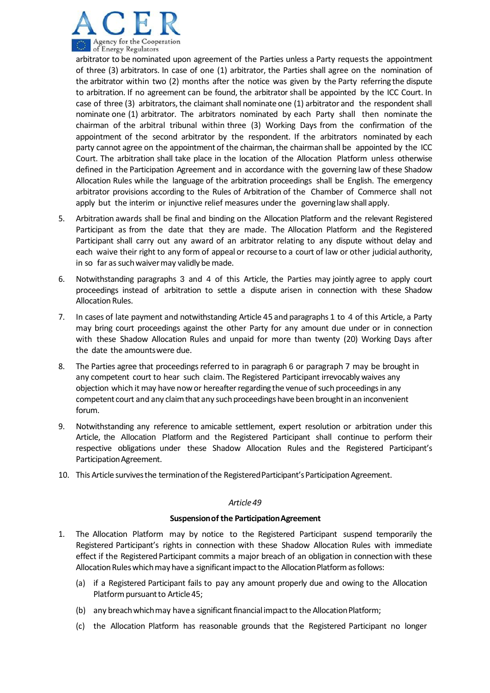

arbitrator to be nominated upon agreement of the Parties unless a Party requests the appointment of three (3) arbitrators. In case of one (1) arbitrator, the Parties shall agree on the nomination of the arbitrator within two (2) months after the notice was given by the Party referring the dispute to arbitration. If no agreement can be found, the arbitrator shall be appointed by the ICC Court. In case of three (3) arbitrators, the claimant shall nominate one (1) arbitrator and the respondent shall nominate one (1) arbitrator. The arbitrators nominated by each Party shall then nominate the chairman of the arbitral tribunal within three (3) Working Days from the confirmation of the appointment of the second arbitrator by the respondent. If the arbitrators nominated by each party cannot agree on the appointment of the chairman, the chairman shall be appointed by the ICC Court. The arbitration shall take place in the location of the Allocation Platform unless otherwise defined in the Participation Agreement and in accordance with the governing law of these Shadow Allocation Rules while the language of the arbitration proceedings shall be English. The emergency arbitrator provisions according to the Rules of Arbitration of the Chamber of Commerce shall not apply but the interim or injunctive relief measures under the governinglaw shall apply.

- 5. Arbitration awards shall be final and binding on the Allocation Platform and the relevant Registered Participant as from the date that they are made. The Allocation Platform and the Registered Participant shall carry out any award of an arbitrator relating to any dispute without delay and each waive their right to any form of appeal or recourse to a court of law or other judicial authority, in so far as such waiver may validly be made.
- 6. Notwithstanding paragraphs 3 and 4 of this Article, the Parties may jointly agree to apply court proceedings instead of arbitration to settle a dispute arisen in connection with these Shadow Allocation Rules.
- 7. In cases of late payment and notwithstanding Article 45 and paragraphs1 to 4 of this Article, a Party may bring court proceedings against the other Party for any amount due under or in connection with these Shadow Allocation Rules and unpaid for more than twenty (20) Working Days after the date the amountswere due.
- 8. The Parties agree that proceedings referred to in paragraph 6 or paragraph 7 may be brought in any competent court to hear such claim. The Registered Participant irrevocably waives any objection which it may have now or hereafter regarding the venue of such proceedings in any competent court and any claim that any such proceedings have been brought in an inconvenient forum.
- 9. Notwithstanding any reference to amicable settlement, expert resolution or arbitration under this Article, the Allocation Platform and the Registered Participant shall continue to perform their respective obligations under these Shadow Allocation Rules and the Registered Participant's Participation Agreement.
- 10. This Article survives the termination of the Registered Participant's Participation Agreement.

## *Article49*

## **Suspensionof the ParticipationAgreement**

- 1. The Allocation Platform may by notice to the Registered Participant suspend temporarily the Registered Participant's rights in connection with these Shadow Allocation Rules with immediate effect if the Registered Participant commits a major breach of an obligation in connection with these Allocation Rules which may have a significant impact to the Allocation Platform as follows:
	- (a) if a Registered Participant fails to pay any amount properly due and owing to the Allocation Platform pursuant to Article 45;
	- (b) any breach which may have a significant financial impact to the Allocation Platform;
	- (c) the Allocation Platform has reasonable grounds that the Registered Participant no longer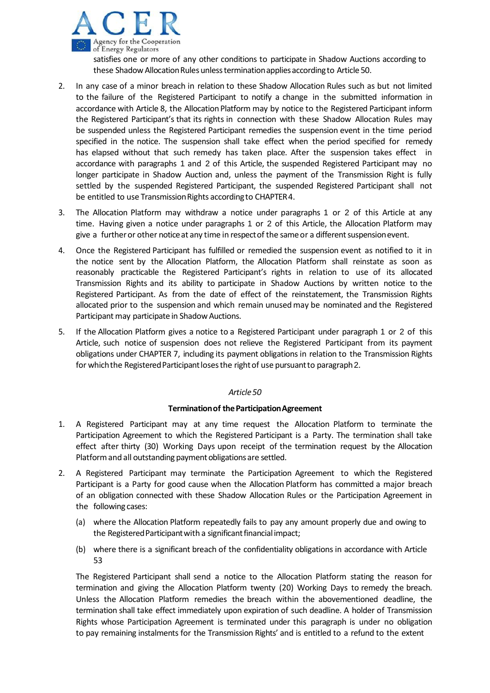

satisfies one or more of any other conditions to participate in Shadow Auctions according to these Shadow Allocation Rules unless termination applies according to Article 50.

- 2. In any case of a minor breach in relation to these Shadow Allocation Rules such as but not limited to the failure of the Registered Participant to notify a change in the submitted information in accordance with Article 8, the Allocation Platform may by notice to the Registered Participant inform the Registered Participant's that its rights in connection with these Shadow Allocation Rules may be suspended unless the Registered Participant remedies the suspension event in the time period specified in the notice. The suspension shall take effect when the period specified for remedy has elapsed without that such remedy has taken place. After the suspension takes effect in accordance with paragraphs 1 and 2 of this Article, the suspended Registered Participant may no longer participate in Shadow Auction and, unless the payment of the Transmission Right is fully settled by the suspended Registered Participant, the suspended Registered Participant shall not be entitled to use Transmission Rights according to CHAPTER 4.
- 3. The Allocation Platform may withdraw a notice under paragraphs 1 or 2 of this Article at any time. Having given a notice under paragraphs 1 or 2 of this Article, the Allocation Platform may give a further or other notice at any time in respect of the same or a different suspension event.
- 4. Once the Registered Participant has fulfilled or remedied the suspension event as notified to it in the notice sent by the Allocation Platform, the Allocation Platform shall reinstate as soon as reasonably practicable the Registered Participant's rights in relation to use of its allocated Transmission Rights and its ability to participate in Shadow Auctions by written notice to the Registered Participant. As from the date of effect of the reinstatement, the Transmission Rights allocated prior to the suspension and which remain unusedmay be nominated and the Registered Participant may participate in Shadow Auctions.
- 5. If the Allocation Platform gives a notice to a Registered Participant under paragraph 1 or 2 of this Article, such notice of suspension does not relieve the Registered Participant from its payment obligations under CHAPTER 7, including its payment obligations in relation to the Transmission Rights for which the Registered Participant loses the right of use pursuant to paragraph 2.

## *Article50*

## **Terminationof theParticipationAgreement**

- 1. A Registered Participant may at any time request the Allocation Platform to terminate the Participation Agreement to which the Registered Participant is a Party. The termination shall take effect after thirty (30) Working Days upon receipt of the termination request by the Allocation Platform and all outstanding payment obligations are settled.
- 2. A Registered Participant may terminate the Participation Agreement to which the Registered Participant is a Party for good cause when the Allocation Platform has committed a major breach of an obligation connected with these Shadow Allocation Rules or the Participation Agreement in the following cases:
	- (a) where the Allocation Platform repeatedly fails to pay any amount properly due and owing to the Registered Participant with a significant financial impact;
	- (b) where there is a significant breach of the confidentiality obligations in accordance with Article 53

The Registered Participant shall send a notice to the Allocation Platform stating the reason for termination and giving the Allocation Platform twenty (20) Working Days to remedy the breach. Unless the Allocation Platform remedies the breach within the abovementioned deadline, the termination shall take effect immediately upon expiration of such deadline. A holder of Transmission Rights whose Participation Agreement is terminated under this paragraph is under no obligation to pay remaining instalments for the Transmission Rights' and is entitled to a refund to the extent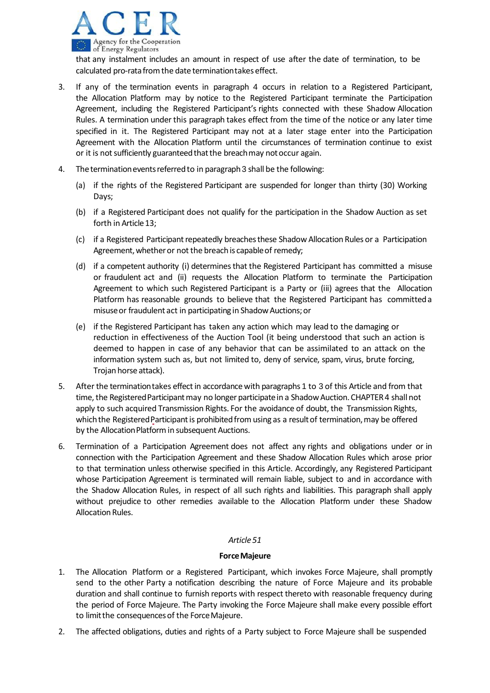

that any instalment includes an amount in respect of use after the date of termination, to be calculated pro-rata from the date termination takes effect.

- 3. If any of the termination events in paragraph 4 occurs in relation to a Registered Participant, the Allocation Platform may by notice to the Registered Participant terminate the Participation Agreement, including the Registered Participant's rights connected with these Shadow Allocation Rules. A termination under this paragraph takes effect from the time of the notice or any later time specified in it. The Registered Participant may not at a later stage enter into the Participation Agreement with the Allocation Platform until the circumstances of termination continue to exist or it is not sufficiently guaranteed that the breach may not occur again.
- 4. The termination events referred to in paragraph 3 shall be the following:
	- (a) if the rights of the Registered Participant are suspended for longer than thirty (30) Working Days;
	- (b) if a Registered Participant does not qualify for the participation in the Shadow Auction as set forth in Article 13;
	- (c) if a Registered Participant repeatedly breaches these Shadow Allocation Rules or a Participation Agreement, whether or not the breach is capable of remedy;
	- (d) if a competent authority (i) determines that the Registered Participant has committed a misuse or fraudulent act and (ii) requests the Allocation Platform to terminate the Participation Agreement to which such Registered Participant is a Party or (iii) agrees that the Allocation Platform has reasonable grounds to believe that the Registered Participant has committeda misuse or fraudulent act in participating in Shadow Auctions; or
	- (e) if the Registered Participant has taken any action which may lead to the damaging or reduction in effectiveness of the Auction Tool (it being understood that such an action is deemed to happen in case of any behavior that can be assimilated to an attack on the information system such as, but not limited to, deny of service, spam, virus, brute forcing, Trojan horse attack).
- 5. After the termination takes effect in accordance with paragraphs 1 to 3 of this Article and from that time, the Registered Participant may no longer participate in a Shadow Auction. CHAPTER 4 shall not apply to such acquired Transmission Rights. For the avoidance of doubt, the Transmission Rights, which the Registered Participant is prohibited from using as a result of termination, may be offered by the Allocation Platform in subsequent Auctions.
- 6. Termination of a Participation Agreement does not affect any rights and obligations under or in connection with the Participation Agreement and these Shadow Allocation Rules which arose prior to that termination unless otherwise specified in this Article. Accordingly, any Registered Participant whose Participation Agreement is terminated will remain liable, subject to and in accordance with the Shadow Allocation Rules, in respect of all such rights and liabilities. This paragraph shall apply without prejudice to other remedies available to the Allocation Platform under these Shadow Allocation Rules.

## *Article51*

## **ForceMajeure**

- 1. The Allocation Platform or a Registered Participant, which invokes Force Majeure, shall promptly send to the other Party a notification describing the nature of Force Majeure and its probable duration and shall continue to furnish reports with respect thereto with reasonable frequency during the period of Force Majeure. The Party invoking the Force Majeure shall make every possible effort to limit the consequences of the Force Majeure.
- 2. The affected obligations, duties and rights of a Party subject to Force Majeure shall be suspended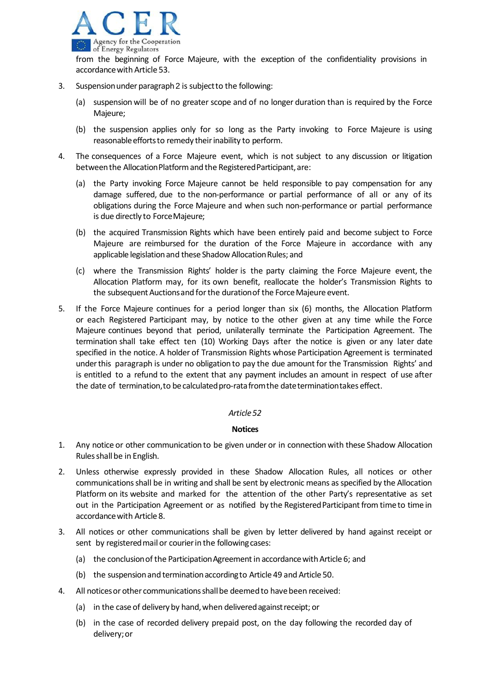

- 3. Suspension under paragraph 2 is subject to the following:
	- (a) suspension will be of no greater scope and of no longer duration than is required by the Force Majeure;
	- (b) the suspension applies only for so long as the Party invoking to Force Majeure is using reasonable efforts to remedy their inability to perform.
- 4. The consequences of a Force Majeure event, which is not subject to any discussion or litigation between the Allocation Platform and the Registered Participant, are:
	- (a) the Party invoking Force Majeure cannot be held responsible to pay compensation for any damage suffered, due to the non‐performance or partial performance of all or any of its obligations during the Force Majeure and when such non‐performance or partial performance is due directly to ForceMajeure;
	- (b) the acquired Transmission Rights which have been entirely paid and become subject to Force Majeure are reimbursed for the duration of the Force Majeure in accordance with any applicable legislation and these Shadow Allocation Rules; and
	- (c) where the Transmission Rights' holder is the party claiming the Force Majeure event, the Allocation Platform may, for its own benefit, reallocate the holder's Transmission Rights to the subsequent Auctions and for the duration of the Force Majeure event.
- 5. If the Force Majeure continues for a period longer than six (6) months, the Allocation Platform or each Registered Participant may, by notice to the other given at any time while the Force Majeure continues beyond that period, unilaterally terminate the Participation Agreement. The termination shall take effect ten (10) Working Days after the notice is given or any later date specified in the notice. A holder of Transmission Rights whose Participation Agreement is terminated underthis paragraph is under no obligation to pay the due amount for the Transmission Rights' and is entitled to a refund to the extent that any payment includes an amount in respect of use after the date of termination, to be calculated pro-rata from the date termination takes effect.

## **Notices**

- 1. Any notice or other communication to be given under or in connectionwith these Shadow Allocation Rulesshall be in English.
- 2. Unless otherwise expressly provided in these Shadow Allocation Rules, all notices or other communications shall be in writing and shall be sent by electronic means as specified by the Allocation Platform on its website and marked for the attention of the other Party's representative as set out in the Participation Agreement or as notified by the Registered Participant from time to time in accordancewith Article 8.
- 3. All notices or other communications shall be given by letter delivered by hand against receipt or sent by registered mail or courier in the following cases:
	- (a) the conclusion of the Participation Agreement in accordance with Article 6; and
	- (b) the suspension and termination according to Article 49 and Article 50.
- 4. All noticesor other communicationsshallbe deemedto havebeen received:
	- (a) in the case of delivery by hand, when delivered against receipt; or
	- (b) in the case of recorded delivery prepaid post, on the day following the recorded day of delivery;or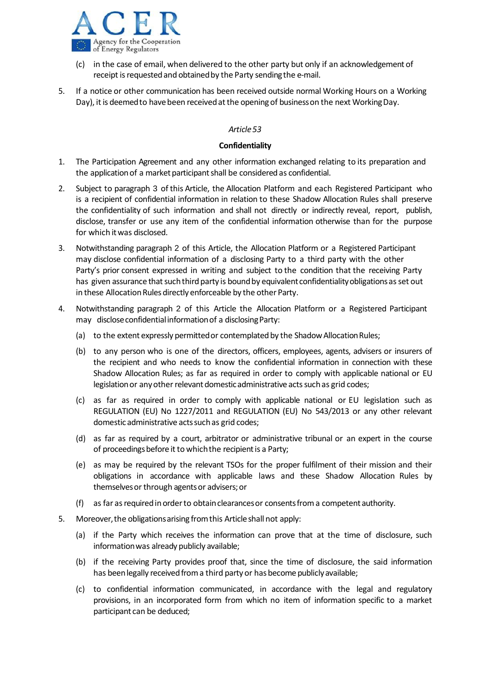

- (c) in the case of email, when delivered to the other party but only if an acknowledgement of receipt is requested and obtained by the Party sending the e-mail.
- 5. If a notice or other communication has been received outside normal Working Hours on a Working Day), it is deemed to have been received at the opening of business on the next Working Day.

### **Confidentiality**

- 1. The Participation Agreement and any other information exchanged relating to its preparation and the application of a market participant shall be considered as confidential.
- 2. Subject to paragraph 3 of this Article, the Allocation Platform and each Registered Participant who is a recipient of confidential information in relation to these Shadow Allocation Rules shall preserve the confidentiality of such information and shall not directly or indirectly reveal, report, publish, disclose, transfer or use any item of the confidential information otherwise than for the purpose for which itwas disclosed.
- 3. Notwithstanding paragraph 2 of this Article, the Allocation Platform or a Registered Participant may disclose confidential information of a disclosing Party to a third party with the other Party's prior consent expressed in writing and subject to the condition that the receiving Party has given assurance that such third party is bound by equivalent confidentiality obligations as set out in these Allocation Rules directly enforceable by the other Party.
- 4. Notwithstanding paragraph 2 of this Article the Allocation Platform or a Registered Participant may disclose confidential information of a disclosing Party:
	- (a) to the extent expressly permitted or contemplated by the Shadow Allocation Rules;
	- (b) to any person who is one of the directors, officers, employees, agents, advisers or insurers of the recipient and who needs to know the confidential information in connection with these Shadow Allocation Rules; as far as required in order to comply with applicable national or EU legislation or any other relevant domestic administrative acts such as grid codes;
	- (c) as far as required in order to comply with applicable national or EU legislation such as REGULATION (EU) No 1227/2011 and REGULATION (EU) No 543/2013 or any other relevant domestic administrative actssuchas grid codes;
	- (d) as far as required by a court, arbitrator or administrative tribunal or an expert in the course of proceedings before it to which the recipient is a Party;
	- (e) as may be required by the relevant TSOs for the proper fulfilment of their mission and their obligations in accordance with applicable laws and these Shadow Allocation Rules by themselves or through agents or advisers; or
	- (f) as far asrequiredin orderto obtainclearancesor consentsfroma competent authority.
- 5. Moreover,the obligationsarising fromthis Articleshall not apply:
	- (a) if the Party which receives the information can prove that at the time of disclosure, such informationwas already publicly available;
	- (b) if the receiving Party provides proof that, since the time of disclosure, the said information has been legally received from a third party or has become publicly available;
	- (c) to confidential information communicated, in accordance with the legal and regulatory provisions, in an incorporated form from which no item of information specific to a market participant can be deduced;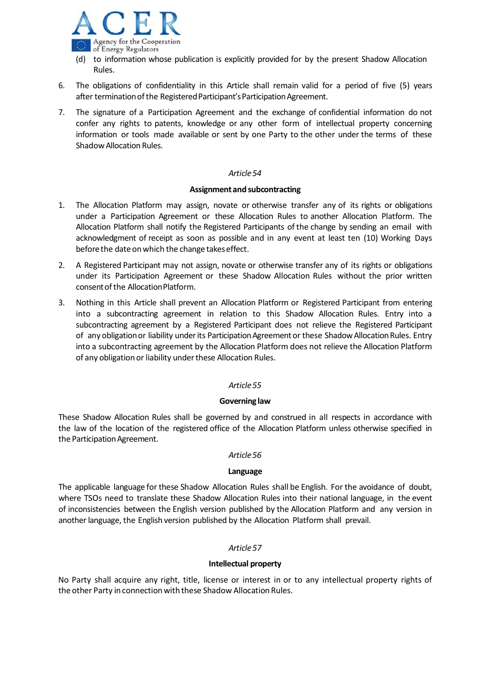

- (d) to information whose publication is explicitly provided for by the present Shadow Allocation Rules.
- 6. The obligations of confidentiality in this Article shall remain valid for a period of five (5) years after termination of the Registered Participant's Participation Agreement.
- 7. The signature of a Participation Agreement and the exchange of confidential information do not confer any rights to patents, knowledge or any other form of intellectual property concerning information or tools made available or sent by one Party to the other under the terms of these Shadow Allocation Rules.

### **Assignmentand subcontracting**

- 1. The Allocation Platform may assign, novate or otherwise transfer any of its rights or obligations under a Participation Agreement or these Allocation Rules to another Allocation Platform. The Allocation Platform shall notify the Registered Participants of the change by sending an email with acknowledgment of receipt as soon as possible and in any event at least ten (10) Working Days before the date on which the change takes effect.
- 2. A Registered Participant may not assign, novate or otherwise transfer any of its rights or obligations under its Participation Agreement or these Shadow Allocation Rules without the prior written consent of the Allocation Platform.
- 3. Nothing in this Article shall prevent an Allocation Platform or Registered Participant from entering into a subcontracting agreement in relation to this Shadow Allocation Rules. Entry into a subcontracting agreement by a Registered Participant does not relieve the Registered Participant of any obligation or liability under its Participation Agreement or these Shadow Allocation Rules. Entry into a subcontracting agreement by the Allocation Platform does not relieve the Allocation Platform of any obligation or liability under these Allocation Rules.

## *Article55*

## **Governing law**

These Shadow Allocation Rules shall be governed by and construed in all respects in accordance with the law of the location of the registered office of the Allocation Platform unless otherwise specified in the Participation Agreement.

### *Article56*

### **Language**

The applicable language for these Shadow Allocation Rules shall be English. For the avoidance of doubt, where TSOs need to translate these Shadow Allocation Rules into their national language, in the event of inconsistencies between the English version published by the Allocation Platform and any version in another language, the English version published by the Allocation Platform shall prevail.

## *Article57*

## **Intellectual property**

No Party shall acquire any right, title, license or interest in or to any intellectual property rights of the other Party in connection with these Shadow Allocation Rules.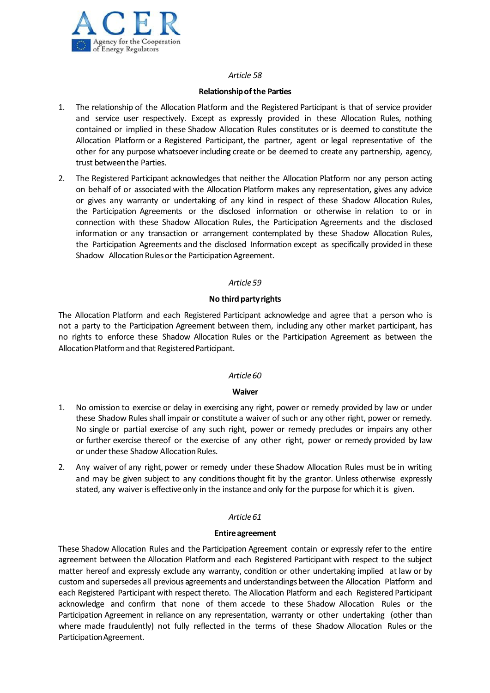

### **Relationshipofthe Parties**

- 1. The relationship of the Allocation Platform and the Registered Participant is that of service provider and service user respectively. Except as expressly provided in these Allocation Rules, nothing contained or implied in these Shadow Allocation Rules constitutes or is deemed to constitute the Allocation Platform or a Registered Participant, the partner, agent or legal representative of the other for any purpose whatsoeverincluding create or be deemed to create any partnership, agency, trust betweenthe Parties.
- 2. The Registered Participant acknowledges that neither the Allocation Platform nor any person acting on behalf of or associated with the Allocation Platform makes any representation, gives any advice or gives any warranty or undertaking of any kind in respect of these Shadow Allocation Rules, the Participation Agreements or the disclosed information or otherwise in relation to or in connection with these Shadow Allocation Rules, the Participation Agreements and the disclosed information or any transaction or arrangement contemplated by these Shadow Allocation Rules, the Participation Agreements and the disclosed Information except as specifically provided in these Shadow Allocation Rules or the Participation Agreement.

## *Article59*

## **No third partyrights**

The Allocation Platform and each Registered Participant acknowledge and agree that a person who is not a party to the Participation Agreement between them, including any other market participant, has no rights to enforce these Shadow Allocation Rules or the Participation Agreement as between the AllocationPlatformand that RegisteredParticipant.

## *Article60*

## **Waiver**

- 1. No omission to exercise or delay in exercising any right, power or remedy provided by law or under these Shadow Rules shall impair or constitute a waiver of such or any other right, power or remedy. No single or partial exercise of any such right, power or remedy precludes or impairs any other or further exercise thereof or the exercise of any other right, power or remedy provided by law or under these Shadow Allocation Rules.
- 2. Any waiver of any right, power or remedy under these Shadow Allocation Rules must be in writing and may be given subject to any conditions thought fit by the grantor. Unless otherwise expressly stated, any waiver is effective only in the instance and only for the purpose for which it is given.

## *Article61*

### **Entire agreement**

These Shadow Allocation Rules and the Participation Agreement contain or expressly refer to the entire agreement between the Allocation Platform and each Registered Participant with respect to the subject matter hereof and expressly exclude any warranty, condition or other undertaking implied at law or by custom and supersedes all previous agreements and understandings between the Allocation Platform and each Registered Participant with respect thereto. The Allocation Platform and each Registered Participant acknowledge and confirm that none of them accede to these Shadow Allocation Rules or the Participation Agreement in reliance on any representation, warranty or other undertaking (other than where made fraudulently) not fully reflected in the terms of these Shadow Allocation Rules or the Participation Agreement.